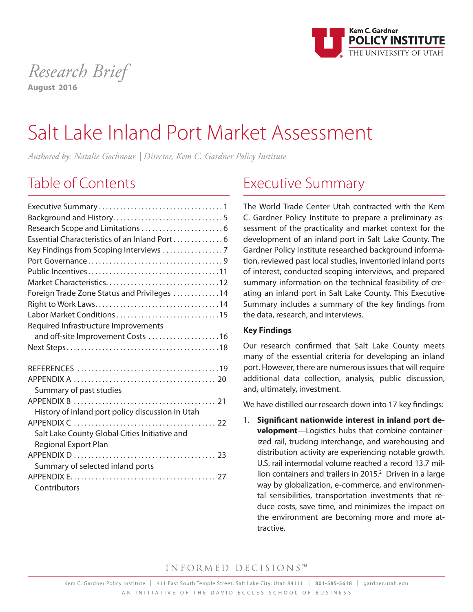

## *Research Brief* **August 2016**

# Salt Lake Inland Port Market Assessment

*Authored by: Natalie Gochnour* I *Director, Kem C. Gardner Policy Institute*

## Table of Contents

| Essential Characteristics of an Inland Port 6    |
|--------------------------------------------------|
|                                                  |
|                                                  |
|                                                  |
|                                                  |
| Foreign Trade Zone Status and Privileges 14      |
|                                                  |
| Labor Market Conditions 15                       |
| Required Infrastructure Improvements             |
| and off-site Improvement Costs 16                |
|                                                  |
|                                                  |
|                                                  |
|                                                  |
| Summary of past studies                          |
|                                                  |
| History of inland port policy discussion in Utah |
|                                                  |
| Salt Lake County Global Cities Initiative and    |
| <b>Regional Export Plan</b>                      |
|                                                  |
| Summary of selected inland ports                 |
|                                                  |
| Contributors                                     |

## Executive Summary

The World Trade Center Utah contracted with the Kem C. Gardner Policy Institute to prepare a preliminary assessment of the practicality and market context for the development of an inland port in Salt Lake County. The Gardner Policy Institute researched background information, reviewed past local studies, inventoried inland ports of interest, conducted scoping interviews, and prepared summary information on the technical feasibility of creating an inland port in Salt Lake County. This Executive Summary includes a summary of the key findings from the data, research, and interviews.

### **Key Findings**

Our research confirmed that Salt Lake County meets many of the essential criteria for developing an inland port. However, there are numerous issues that will require additional data collection, analysis, public discussion, and, ultimately, investment.

We have distilled our research down into 17 key findings:

1. **Significant nationwide interest in inland port development**—Logistics hubs that combine containerized rail, trucking interchange, and warehousing and distribution activity are experiencing notable growth. U.S. rail intermodal volume reached a record 13.7 million containers and trailers in 2015. 2 Driven in a large way by globalization, e-commerce, and environmental sensibilities, transportation investments that reduce costs, save time, and minimizes the impact on the environment are becoming more and more attractive.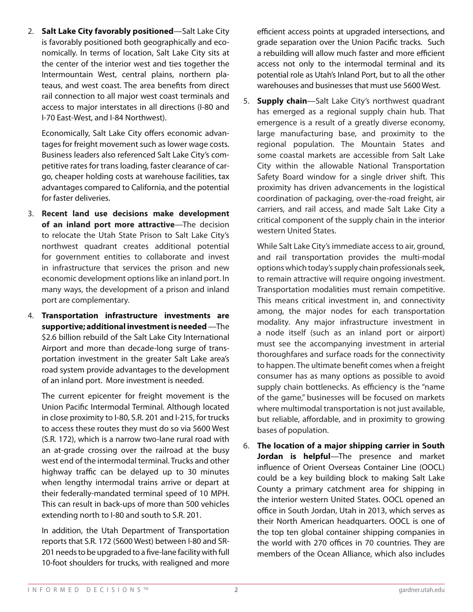2. **Salt Lake City favorably positioned**—Salt Lake City is favorably positioned both geographically and economically. In terms of location, Salt Lake City sits at the center of the interior west and ties together the Intermountain West, central plains, northern plateaus, and west coast. The area benefits from direct rail connection to all major west coast terminals and access to major interstates in all directions (I-80 and I-70 East-West, and I-84 Northwest).

Economically, Salt Lake City offers economic advantages for freight movement such as lower wage costs. Business leaders also referenced Salt Lake City's competitive rates for trans loading, faster clearance of cargo, cheaper holding costs at warehouse facilities, tax advantages compared to California, and the potential for faster deliveries.

- 3. **Recent land use decisions make development of an inland port more attractive**—The decision to relocate the Utah State Prison to Salt Lake City's northwest quadrant creates additional potential for government entities to collaborate and invest in infrastructure that services the prison and new economic development options like an inland port. In many ways, the development of a prison and inland port are complementary.
- 4. **Transportation infrastructure investments are supportive; additional investment is needed** —The \$2.6 billion rebuild of the Salt Lake City International Airport and more than decade-long surge of transportation investment in the greater Salt Lake area's road system provide advantages to the development of an inland port. More investment is needed.

The current epicenter for freight movement is the Union Pacific Intermodal Terminal. Although located in close proximity to I-80, S.R. 201 and I-215, for trucks to access these routes they must do so via 5600 West (S.R. 172), which is a narrow two-lane rural road with an at-grade crossing over the railroad at the busy west end of the intermodal terminal. Trucks and other highway traffic can be delayed up to 30 minutes when lengthy intermodal trains arrive or depart at their federally-mandated terminal speed of 10 MPH. This can result in back-ups of more than 500 vehicles extending north to I-80 and south to S.R. 201.

In addition, the Utah Department of Transportation reports that S.R. 172 (5600 West) between I-80 and SR-201 needs to be upgraded to a five-lane facility with full 10-foot shoulders for trucks, with realigned and more

efficient access points at upgraded intersections, and grade separation over the Union Pacific tracks. Such a rebuilding will allow much faster and more efficient access not only to the intermodal terminal and its potential role as Utah's Inland Port, but to all the other warehouses and businesses that must use 5600 West.

5. **Supply chain**—Salt Lake City's northwest quadrant has emerged as a regional supply chain hub. That emergence is a result of a greatly diverse economy, large manufacturing base, and proximity to the regional population. The Mountain States and some coastal markets are accessible from Salt Lake City within the allowable National Transportation Safety Board window for a single driver shift. This proximity has driven advancements in the logistical coordination of packaging, over-the-road freight, air carriers, and rail access, and made Salt Lake City a critical component of the supply chain in the interior western United States.

While Salt Lake City's immediate access to air, ground, and rail transportation provides the multi-modal options which today's supply chain professionals seek, to remain attractive will require ongoing investment. Transportation modalities must remain competitive. This means critical investment in, and connectivity among, the major nodes for each transportation modality. Any major infrastructure investment in a node itself (such as an inland port or airport) must see the accompanying investment in arterial thoroughfares and surface roads for the connectivity to happen. The ultimate benefit comes when a freight consumer has as many options as possible to avoid supply chain bottlenecks. As efficiency is the "name of the game," businesses will be focused on markets where multimodal transportation is not just available, but reliable, affordable, and in proximity to growing bases of population.

6. **The location of a major shipping carrier in South Jordan is helpful**—The presence and market influence of Orient Overseas Container Line (OOCL) could be a key building block to making Salt Lake County a primary catchment area for shipping in the interior western United States. OOCL opened an office in South Jordan, Utah in 2013, which serves as their North American headquarters. OOCL is one of the top ten global container shipping companies in the world with 270 offices in 70 countries. They are members of the Ocean Alliance, which also includes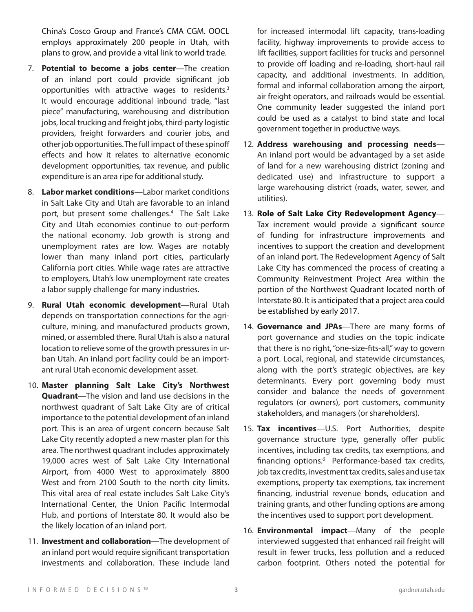China's Cosco Group and France's CMA CGM. OOCL employs approximately 200 people in Utah, with plans to grow, and provide a vital link to world trade.

- 7. **Potential to become a jobs center**—The creation of an inland port could provide significant job opportunities with attractive wages to residents. 3 It would encourage additional inbound trade, "last piece" manufacturing, warehousing and distribution jobs, local trucking and freight jobs, third-party logistic providers, freight forwarders and courier jobs, and other job opportunities. The full impact of these spinoff effects and how it relates to alternative economic development opportunities, tax revenue, and public expenditure is an area ripe for additional study.
- 8. **Labor market conditions**—Labor market conditions in Salt Lake City and Utah are favorable to an inland port, but present some challenges. 4 The Salt Lake City and Utah economies continue to out-perform the national economy. Job growth is strong and unemployment rates are low. Wages are notably lower than many inland port cities, particularly California port cities. While wage rates are attractive to employers, Utah's low unemployment rate creates a labor supply challenge for many industries.
- 9. **Rural Utah economic development**—Rural Utah depends on transportation connections for the agriculture, mining, and manufactured products grown, mined, or assembled there. Rural Utah is also a natural location to relieve some of the growth pressures in urban Utah. An inland port facility could be an important rural Utah economic development asset.
- 10. **Master planning Salt Lake City's Northwest Quadrant**—The vision and land use decisions in the northwest quadrant of Salt Lake City are of critical importance to the potential development of an inland port. This is an area of urgent concern because Salt Lake City recently adopted a new master plan for this area. The northwest quadrant includes approximately 19,000 acres west of Salt Lake City International Airport, from 4000 West to approximately 8800 West and from 2100 South to the north city limits. This vital area of real estate includes Salt Lake City's International Center, the Union Pacific Intermodal Hub, and portions of Interstate 80. It would also be the likely location of an inland port.
- 11. **Investment and collaboration**—The development of an inland port would require significant transportation investments and collaboration. These include land

for increased intermodal lift capacity, trans-loading facility, highway improvements to provide access to lift facilities, support facilities for trucks and personnel to provide off loading and re-loading, short-haul rail capacity, and additional investments. In addition, formal and informal collaboration among the airport, air freight operators, and railroads would be essential. One community leader suggested the inland port could be used as a catalyst to bind state and local government together in productive ways.

- 12. **Address warehousing and processing needs** An inland port would be advantaged by a set aside of land for a new warehousing district (zoning and dedicated use) and infrastructure to support a large warehousing district (roads, water, sewer, and utilities).
- 13. **Role of Salt Lake City Redevelopment Agency** Tax increment would provide a significant source of funding for infrastructure improvements and incentives to support the creation and development of an inland port. The Redevelopment Agency of Salt Lake City has commenced the process of creating a Community Reinvestment Project Area within the portion of the Northwest Quadrant located north of Interstate 80. It is anticipated that a project area could be established by early 2017.
- 14. **Governance and JPAs**—There are many forms of port governance and studies on the topic indicate that there is no right, "one-size-fits-all," way to govern a port. Local, regional, and statewide circumstances, along with the port's strategic objectives, are key determinants. Every port governing body must consider and balance the needs of government regulators (or owners), port customers, community stakeholders, and managers (or shareholders).
- 15. **Tax incentives**—U.S. Port Authorities, despite governance structure type, generally offer public incentives, including tax credits, tax exemptions, and financing options. 6 Performance-based tax credits, job tax credits, investment tax credits, sales and use tax exemptions, property tax exemptions, tax increment financing, industrial revenue bonds, education and training grants, and other funding options are among the incentives used to support port development.
- 16. **Environmental impact**—Many of the people interviewed suggested that enhanced rail freight will result in fewer trucks, less pollution and a reduced carbon footprint. Others noted the potential for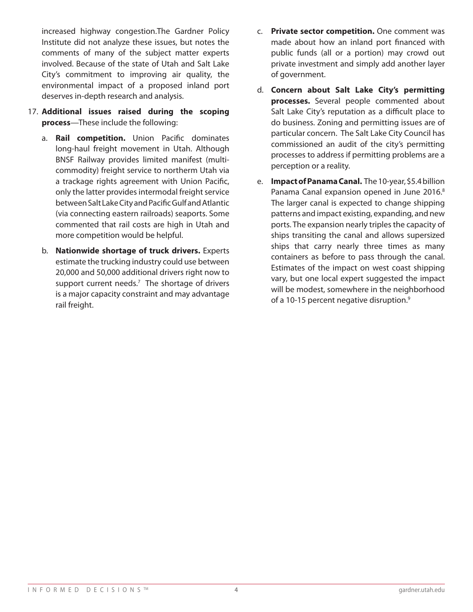increased highway congestion.The Gardner Policy Institute did not analyze these issues, but notes the comments of many of the subject matter experts involved. Because of the state of Utah and Salt Lake City's commitment to improving air quality, the environmental impact of a proposed inland port deserves in-depth research and analysis.

- 17. **Additional issues raised during the scoping process**—These include the following:
	- a. **Rail competition.** Union Pacific dominates long-haul freight movement in Utah. Although BNSF Railway provides limited manifest (multicommodity) freight service to northerm Utah via a trackage rights agreement with Union Pacific, only the latter provides intermodal freight service between Salt Lake City and Pacific Gulf and Atlantic (via connecting eastern railroads) seaports. Some commented that rail costs are high in Utah and more competition would be helpful.
	- b. **Nationwide shortage of truck drivers.** Experts estimate the trucking industry could use between 20,000 and 50,000 additional drivers right now to support current needs.<sup>7</sup> The shortage of drivers is a major capacity constraint and may advantage rail freight.
- c. **Private sector competition.** One comment was made about how an inland port financed with public funds (all or a portion) may crowd out private investment and simply add another layer of government.
- d. **Concern about Salt Lake City's permitting processes.** Several people commented about Salt Lake City's reputation as a difficult place to do business. Zoning and permitting issues are of particular concern. The Salt Lake City Council has commissioned an audit of the city's permitting processes to address if permitting problems are a perception or a reality.
- e. **Impact of Panama Canal.** The 10-year, \$5.4 billion Panama Canal expansion opened in June 2016.<sup>8</sup> The larger canal is expected to change shipping patterns and impact existing, expanding, and new ports. The expansion nearly triples the capacity of ships transiting the canal and allows supersized ships that carry nearly three times as many containers as before to pass through the canal. Estimates of the impact on west coast shipping vary, but one local expert suggested the impact will be modest, somewhere in the neighborhood of a 10-15 percent negative disruption.<sup>9</sup>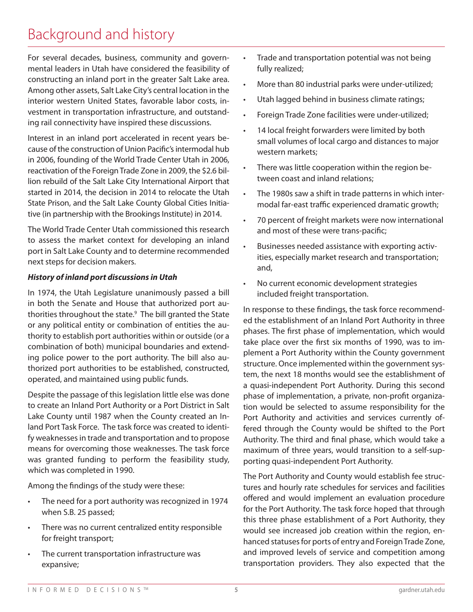## Background and history

For several decades, business, community and governmental leaders in Utah have considered the feasibility of constructing an inland port in the greater Salt Lake area. Among other assets, Salt Lake City's central location in the interior western United States, favorable labor costs, investment in transportation infrastructure, and outstanding rail connectivity have inspired these discussions.

Interest in an inland port accelerated in recent years because of the construction of Union Pacific's intermodal hub in 2006, founding of the World Trade Center Utah in 2006, reactivation of the Foreign Trade Zone in 2009, the \$2.6 billion rebuild of the Salt Lake City International Airport that started in 2014, the decision in 2014 to relocate the Utah State Prison, and the Salt Lake County Global Cities Initiative (in partnership with the Brookings Institute) in 2014.

The World Trade Center Utah commissioned this research to assess the market context for developing an inland port in Salt Lake County and to determine recommended next steps for decision makers.

### *History of inland port discussions in Utah*

In 1974, the Utah Legislature unanimously passed a bill in both the Senate and House that authorized port authorities throughout the state. 9 The bill granted the State or any political entity or combination of entities the authority to establish port authorities within or outside (or a combination of both) municipal boundaries and extending police power to the port authority. The bill also authorized port authorities to be established, constructed, operated, and maintained using public funds.

Despite the passage of this legislation little else was done to create an Inland Port Authority or a Port District in Salt Lake County until 1987 when the County created an Inland Port Task Force. The task force was created to identify weaknesses in trade and transportation and to propose means for overcoming those weaknesses. The task force was granted funding to perform the feasibility study, which was completed in 1990.

Among the findings of the study were these:

- The need for a port authority was recognized in 1974 when S.B. 25 passed;
- There was no current centralized entity responsible for freight transport;
- The current transportation infrastructure was expansive;
- Trade and transportation potential was not being fully realized;
- More than 80 industrial parks were under-utilized;
- Utah lagged behind in business climate ratings;
- Foreign Trade Zone facilities were under-utilized;
- 14 local freight forwarders were limited by both small volumes of local cargo and distances to major western markets;
- There was little cooperation within the region between coast and inland relations;
- The 1980s saw a shift in trade patterns in which intermodal far-east traffic experienced dramatic growth;
- 70 percent of freight markets were now international and most of these were trans-pacific;
- Businesses needed assistance with exporting activities, especially market research and transportation; and,
- No current economic development strategies included freight transportation.

In response to these findings, the task force recommended the establishment of an Inland Port Authority in three phases. The first phase of implementation, which would take place over the first six months of 1990, was to implement a Port Authority within the County government structure. Once implemented within the government system, the next 18 months would see the establishment of a quasi-independent Port Authority. During this second phase of implementation, a private, non-profit organization would be selected to assume responsibility for the Port Authority and activities and services currently offered through the County would be shifted to the Port Authority. The third and final phase, which would take a maximum of three years, would transition to a self-supporting quasi-independent Port Authority.

The Port Authority and County would establish fee structures and hourly rate schedules for services and facilities offered and would implement an evaluation procedure for the Port Authority. The task force hoped that through this three phase establishment of a Port Authority, they would see increased job creation within the region, enhanced statuses for ports of entry and Foreign Trade Zone, and improved levels of service and competition among transportation providers. They also expected that the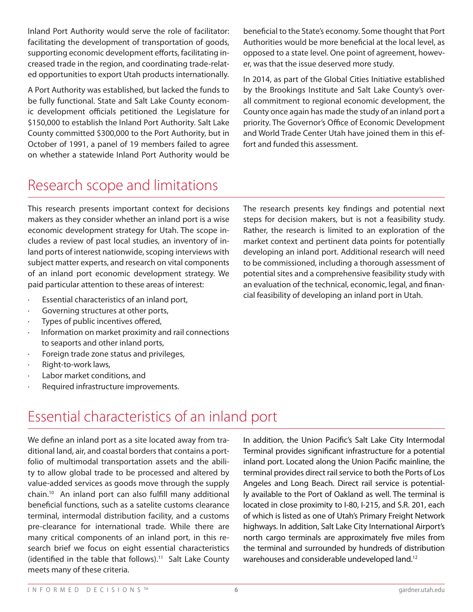Inland Port Authority would serve the role of facilitator: facilitating the development of transportation of goods, supporting economic development efforts, facilitating increased trade in the region, and coordinating trade-related opportunities to export Utah products internationally.

A Port Authority was established, but lacked the funds to be fully functional. State and Salt Lake County economic development officials petitioned the Legislature for \$150,000 to establish the Inland Port Authority. Salt Lake County committed \$300,000 to the Port Authority, but in October of 1991, a panel of 19 members failed to agree on whether a statewide Inland Port Authority would be beneficial to the State's economy. Some thought that Port Authorities would be more beneficial at the local level, as opposed to a state level. One point of agreement, however, was that the issue deserved more study.

In 2014, as part of the Global Cities Initiative established by the Brookings Institute and Salt Lake County's overall commitment to regional economic development, the County once again has made the study of an inland port a priority. The Governor's Office of Economic Development and World Trade Center Utah have joined them in this effort and funded this assessment.

## Research scope and limitations

This research presents important context for decisions makers as they consider whether an inland port is a wise economic development strategy for Utah. The scope includes a review of past local studies, an inventory of inland ports of interest nationwide, scoping interviews with subject matter experts, and research on vital components of an inland port economic development strategy. We paid particular attention to these areas of interest:

- Essential characteristics of an inland port,
- Governing structures at other ports,
- Types of public incentives offered,
- Information on market proximity and rail connections to seaports and other inland ports,
- · Foreign trade zone status and privileges,
- · Right-to-work laws,
- Labor market conditions, and
- Required infrastructure improvements.

The research presents key findings and potential next steps for decision makers, but is not a feasibility study. Rather, the research is limited to an exploration of the market context and pertinent data points for potentially developing an inland port. Additional research will need to be commissioned, including a thorough assessment of potential sites and a comprehensive feasibility study with an evaluation of the technical, economic, legal, and financial feasibility of developing an inland port in Utah.

## Essential characteristics of an inland port

We define an inland port as a site located away from traditional land, air, and coastal borders that contains a portfolio of multimodal transportation assets and the ability to allow global trade to be processed and altered by value-added services as goods move through the supply chain. 10 An inland port can also fulfill many additional beneficial functions, such as a satelite customs clearance terminal, intermodal distribution facility, and a customs pre-clearance for international trade. While there are many critical components of an inland port, in this research brief we focus on eight essential characteristics  $(identified in the table that follows).<sup>11</sup> Salt Lake County$ meets many of these criteria.

In addition, the Union Pacific's Salt Lake City Intermodal Terminal provides significant infrastructure for a potential inland port. Located along the Union Pacific mainline, the terminal provides direct rail service to both the Ports of Los Angeles and Long Beach. Direct rail service is potentially available to the Port of Oakland as well. The terminal is located in close proximity to I-80, I-215, and S.R. 201, each of which is listed as one of Utah's Primary Freight Network highways. In addition, Salt Lake City International Airport's north cargo terminals are approximately five miles from the terminal and surrounded by hundreds of distribution warehouses and considerable undeveloped land.<sup>12</sup>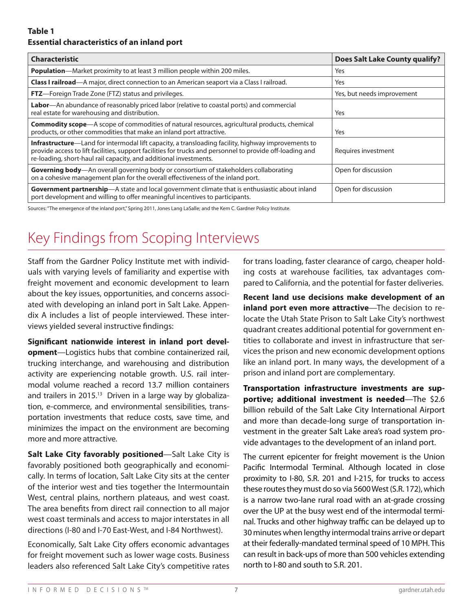### **Table 1 Essential characteristics of an inland port**

| <b>Characteristic</b>                                                                                                                                                                                                                                                                        | <b>Does Salt Lake County qualify?</b> |
|----------------------------------------------------------------------------------------------------------------------------------------------------------------------------------------------------------------------------------------------------------------------------------------------|---------------------------------------|
| <b>Population</b> —Market proximity to at least 3 million people within 200 miles.                                                                                                                                                                                                           | Yes                                   |
| <b>Class I railroad</b> —A major, direct connection to an American seaport via a Class I railroad.                                                                                                                                                                                           | Yes                                   |
| <b>FTZ</b> —Foreign Trade Zone (FTZ) status and privileges.                                                                                                                                                                                                                                  | Yes, but needs improvement            |
| Labor—An abundance of reasonably priced labor (relative to coastal ports) and commercial<br>real estate for warehousing and distribution.                                                                                                                                                    | Yes                                   |
| <b>Commodity scope</b> —A scope of commodities of natural resources, agricultural products, chemical<br>products, or other commodities that make an inland port attractive.                                                                                                                  | Yes                                   |
| <b>Infrastructure</b> —Land for intermodal lift capacity, a transloading facility, highway improvements to<br>provide access to lift facilities, support facilities for trucks and personnel to provide off-loading and<br>re-loading, short-haul rail capacity, and additional investments. | Requires investment                   |
| Governing body-An overall governing body or consortium of stakeholders collaborating<br>on a cohesive management plan for the overall effectiveness of the inland port.                                                                                                                      | Open for discussion                   |
| Government partnership-A state and local government climate that is enthusiastic about inland<br>port development and willing to offer meaningful incentives to participants.                                                                                                                | Open for discussion                   |

Sources: "The emergence of the inland port," Spring 2011, Jones Lang LaSalle; and the Kem C. Gardner Policy Institute.

# Key Findings from Scoping Interviews

Staff from the Gardner Policy Institute met with individuals with varying levels of familiarity and expertise with freight movement and economic development to learn about the key issues, opportunities, and concerns associated with developing an inland port in Salt Lake. Appendix A includes a list of people interviewed. These interviews yielded several instructive findings:

**Significant nationwide interest in inland port development**—Logistics hubs that combine containerized rail, trucking interchange, and warehousing and distribution activity are experiencing notable growth. U.S. rail intermodal volume reached a record 13.7 million containers and trailers in 2015. 13 Driven in a large way by globalization, e-commerce, and environmental sensibilities, transportation investments that reduce costs, save time, and minimizes the impact on the environment are becoming more and more attractive.

**Salt Lake City favorably positioned**—Salt Lake City is favorably positioned both geographically and economically. In terms of location, Salt Lake City sits at the center of the interior west and ties together the Intermountain West, central plains, northern plateaus, and west coast. The area benefits from direct rail connection to all major west coast terminals and access to major interstates in all directions (I-80 and I-70 East-West, and I-84 Northwest).

Economically, Salt Lake City offers economic advantages for freight movement such as lower wage costs. Business leaders also referenced Salt Lake City's competitive rates

for trans loading, faster clearance of cargo, cheaper holding costs at warehouse facilities, tax advantages compared to California, and the potential for faster deliveries.

**Recent land use decisions make development of an inland port even more attractive**—The decision to relocate the Utah State Prison to Salt Lake City's northwest quadrant creates additional potential for government entities to collaborate and invest in infrastructure that services the prison and new economic development options like an inland port. In many ways, the development of a prison and inland port are complementary.

**Transportation infrastructure investments are supportive; additional investment is needed**—The \$2.6 billion rebuild of the Salt Lake City International Airport and more than decade-long surge of transportation investment in the greater Salt Lake area's road system provide advantages to the development of an inland port.

The current epicenter for freight movement is the Union Pacific Intermodal Terminal. Although located in close proximity to I-80, S.R. 201 and I-215, for trucks to access these routes they must do so via 5600 West (S.R. 172), which is a narrow two-lane rural road with an at-grade crossing over the UP at the busy west end of the intermodal terminal. Trucks and other highway traffic can be delayed up to 30 minutes when lengthy intermodal trains arrive or depart at their federally-mandated terminal speed of 10 MPH. This can result in back-ups of more than 500 vehicles extending north to I-80 and south to S.R. 201.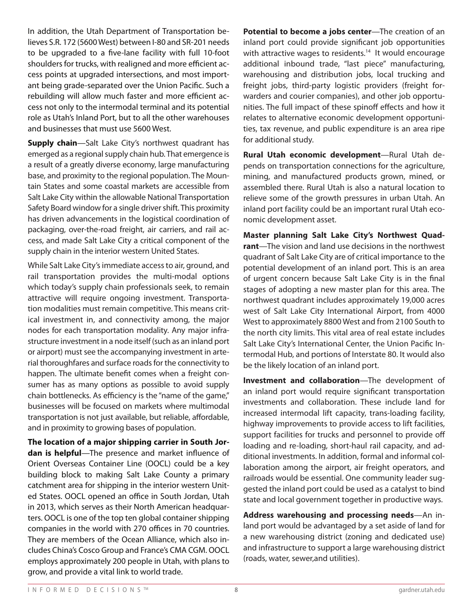In addition, the Utah Department of Transportation believes S.R. 172 (5600 West) between I-80 and SR-201 needs to be upgraded to a five-lane facility with full 10-foot shoulders for trucks, with realigned and more efficient access points at upgraded intersections, and most important being grade-separated over the Union Pacific. Such a rebuilding will allow much faster and more efficient access not only to the intermodal terminal and its potential role as Utah's Inland Port, but to all the other warehouses and businesses that must use 5600 West.

**Supply chain**—Salt Lake City's northwest quadrant has emerged as a regional supply chain hub. That emergence is a result of a greatly diverse economy, large manufacturing base, and proximity to the regional population. The Mountain States and some coastal markets are accessible from Salt Lake City within the allowable National Transportation Safety Board window for a single driver shift. This proximity has driven advancements in the logistical coordination of packaging, over-the-road freight, air carriers, and rail access, and made Salt Lake City a critical component of the supply chain in the interior western United States.

While Salt Lake City's immediate access to air, ground, and rail transportation provides the multi-modal options which today's supply chain professionals seek, to remain attractive will require ongoing investment. Transportation modalities must remain competitive. This means critical investment in, and connectivity among, the major nodes for each transportation modality. Any major infrastructure investment in a node itself (such as an inland port or airport) must see the accompanying investment in arterial thoroughfares and surface roads for the connectivity to happen. The ultimate benefit comes when a freight consumer has as many options as possible to avoid supply chain bottlenecks. As efficiency is the "name of the game," businesses will be focused on markets where multimodal transportation is not just available, but reliable, affordable, and in proximity to growing bases of population.

**The location of a major shipping carrier in South Jordan is helpful**—The presence and market influence of Orient Overseas Container Line (OOCL) could be a key building block to making Salt Lake County a primary catchment area for shipping in the interior western United States. OOCL opened an office in South Jordan, Utah in 2013, which serves as their North American headquarters. OOCL is one of the top ten global container shipping companies in the world with 270 offices in 70 countries. They are members of the Ocean Alliance, which also includes China's Cosco Group and France's CMA CGM. OOCL employs approximately 200 people in Utah, with plans to grow, and provide a vital link to world trade.

**Potential to become a jobs center**—The creation of an inland port could provide significant job opportunities with attractive wages to residents. 14 It would encourage additional inbound trade, "last piece" manufacturing, warehousing and distribution jobs, local trucking and freight jobs, third-party logistic providers (freight forwarders and courier companies), and other job opportunities. The full impact of these spinoff effects and how it relates to alternative economic development opportunities, tax revenue, and public expenditure is an area ripe for additional study.

**Rural Utah economic development**—Rural Utah depends on transportation connections for the agriculture, mining, and manufactured products grown, mined, or assembled there. Rural Utah is also a natural location to relieve some of the growth pressures in urban Utah. An inland port facility could be an important rural Utah economic development asset.

**Master planning Salt Lake City's Northwest Quadrant**—The vision and land use decisions in the northwest quadrant of Salt Lake City are of critical importance to the potential development of an inland port. This is an area of urgent concern because Salt Lake City is in the final stages of adopting a new master plan for this area. The northwest quadrant includes approximately 19,000 acres west of Salt Lake City International Airport, from 4000 West to approximately 8800 West and from 2100 South to the north city limits. This vital area of real estate includes Salt Lake City's International Center, the Union Pacific Intermodal Hub, and portions of Interstate 80. It would also be the likely location of an inland port.

**Investment and collaboration**—The development of an inland port would require significant transportation investments and collaboration. These include land for increased intermodal lift capacity, trans-loading facility, highway improvements to provide access to lift facilities, support facilities for trucks and personnel to provide off loading and re-loading, short-haul rail capacity, and additional investments. In addition, formal and informal collaboration among the airport, air freight operators, and railroads would be essential. One community leader suggested the inland port could be used as a catalyst to bind state and local government together in productive ways.

**Address warehousing and processing needs**—An inland port would be advantaged by a set aside of land for a new warehousing district (zoning and dedicated use) and infrastructure to support a large warehousing district (roads, water, sewer,and utilities).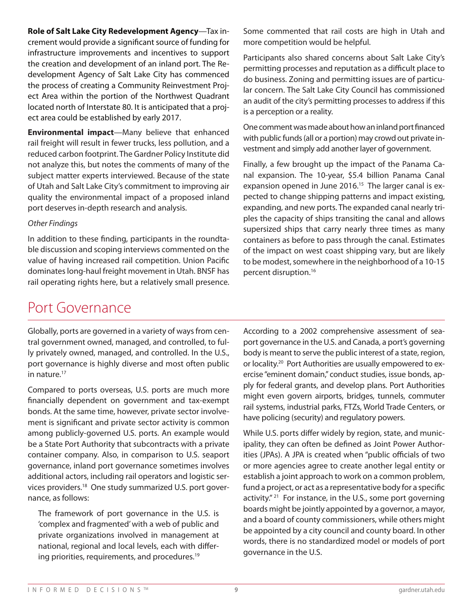**Role of Salt Lake City Redevelopment Agency**—Tax increment would provide a significant source of funding for infrastructure improvements and incentives to support the creation and development of an inland port. The Redevelopment Agency of Salt Lake City has commenced the process of creating a Community Reinvestment Project Area within the portion of the Northwest Quadrant located north of Interstate 80. It is anticipated that a project area could be established by early 2017.

**Environmental impact**—Many believe that enhanced rail freight will result in fewer trucks, less pollution, and a reduced carbon footprint. The Gardner Policy Institute did not analyze this, but notes the comments of many of the subject matter experts interviewed. Because of the state of Utah and Salt Lake City's commitment to improving air quality the environmental impact of a proposed inland port deserves in-depth research and analysis.

#### *Other Findings*

In addition to these finding, participants in the roundtable discussion and scoping interviews commented on the value of having increased rail competition. Union Pacific dominates long-haul freight movement in Utah. BNSF has rail operating rights here, but a relatively small presence.

Some commented that rail costs are high in Utah and more competition would be helpful.

Participants also shared concerns about Salt Lake City's permitting processes and reputation as a difficult place to do business. Zoning and permitting issues are of particular concern. The Salt Lake City Council has commissioned an audit of the city's permitting processes to address if this is a perception or a reality.

One comment was made about how an inland port financed with public funds (all or a portion) may crowd out private investment and simply add another layer of government.

Finally, a few brought up the impact of the Panama Canal expansion. The 10-year, \$5.4 billion Panama Canal expansion opened in June 2016.<sup>15</sup> The larger canal is expected to change shipping patterns and impact existing, expanding, and new ports. The expanded canal nearly triples the capacity of ships transiting the canal and allows supersized ships that carry nearly three times as many containers as before to pass through the canal. Estimates of the impact on west coast shipping vary, but are likely to be modest, somewhere in the neighborhood of a 10-15 percent disruption. 16

## Port Governance

Globally, ports are governed in a variety of ways from central government owned, managed, and controlled, to fully privately owned, managed, and controlled. In the U.S., port governance is highly diverse and most often public in nature. 17

Compared to ports overseas, U.S. ports are much more financially dependent on government and tax-exempt bonds. At the same time, however, private sector involvement is significant and private sector activity is common among publicly-governed U.S. ports. An example would be a State Port Authority that subcontracts with a private container company. Also, in comparison to U.S. seaport governance, inland port governance sometimes involves additional actors, including rail operators and logistic services providers. 18 One study summarized U.S. port governance, as follows:

The framework of port governance in the U.S. is 'complex and fragmented' with a web of public and private organizations involved in management at national, regional and local levels, each with differing priorities, requirements, and procedures. 19

According to a 2002 comprehensive assessment of seaport governance in the U.S. and Canada, a port's governing body is meant to serve the public interest of a state, region, or locality.<sup>20</sup> Port Authorities are usually empowered to exercise "eminent domain," conduct studies, issue bonds, apply for federal grants, and develop plans. Port Authorities might even govern airports, bridges, tunnels, commuter rail systems, industrial parks, FTZs, World Trade Centers, or have policing (security) and regulatory powers.

While U.S. ports differ widely by region, state, and municipality, they can often be defined as Joint Power Authorities (JPAs). A JPA is created when "public officials of two or more agencies agree to create another legal entity or establish a joint approach to work on a common problem, fund a project, or act as a representative body for a specific activity."<sup>21</sup> For instance, in the U.S., some port governing boards might be jointly appointed by a governor, a mayor, and a board of county commissioners, while others might be appointed by a city council and county board. In other words, there is no standardized model or models of port governance in the U.S.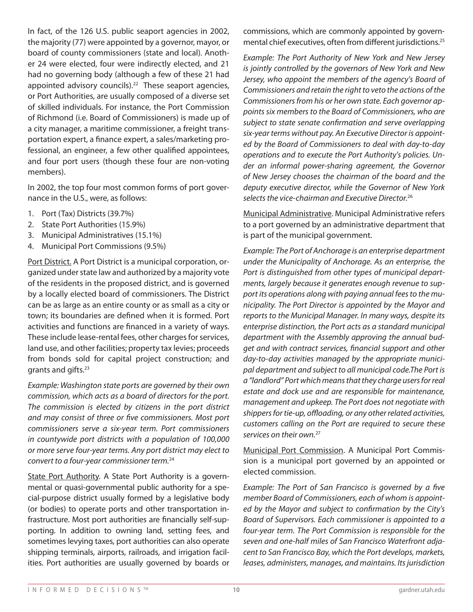In fact, of the 126 U.S. public seaport agencies in 2002, the majority (77) were appointed by a governor, mayor, or board of county commissioners (state and local). Another 24 were elected, four were indirectly elected, and 21 had no governing body (although a few of these 21 had appointed advisory councils). 22 These seaport agencies, or Port Authorities, are usually composed of a diverse set of skilled individuals. For instance, the Port Commission of Richmond (i.e. Board of Commissioners) is made up of a city manager, a maritime commissioner, a freight transportation expert, a finance expert, a sales/marketing professional, an engineer, a few other qualified appointees, and four port users (though these four are non-voting members).

In 2002, the top four most common forms of port governance in the U.S., were, as follows:

- 1. Port (Tax) Districts (39.7%)
- 2. State Port Authorities (15.9%)
- 3. Municipal Administratives (15.1%)
- 4. Municipal Port Commissions (9.5%)

Port District. A Port District is a municipal corporation, organized under state law and authorized by a majority vote of the residents in the proposed district, and is governed by a locally elected board of commissioners. The District can be as large as an entire county or as small as a city or town; its boundaries are defined when it is formed. Port activities and functions are financed in a variety of ways. These include lease-rental fees, other charges for services, land use, and other facilities; property tax levies; proceeds from bonds sold for capital project construction; and grants and gifts. 23

*Example: Washington state ports are governed by their own commission, which acts as a board of directors for the port. The commission is elected by citizens in the port district and may consist of three or five commissioners. Most port commissioners serve a six-year term. Port commissioners in countywide port districts with a population of 100,000 or more serve four-year terms. Any port district may elect to convert to a four-year commissioner term.*<sup>24</sup>

State Port Authority. A State Port Authority is a governmental or quasi-governmental public authority for a special-purpose district usually formed by a legislative body (or bodies) to operate ports and other transportation infrastructure. Most port authorities are financially self-supporting. In addition to owning land, setting fees, and sometimes levying taxes, port authorities can also operate shipping terminals, airports, railroads, and irrigation facilities. Port authorities are usually governed by boards or commissions, which are commonly appointed by governmental chief executives, often from different jurisdictions. 25

*Example: The Port Authority of New York and New Jersey is jointly controlled by the governors of New York and New Jersey, who appoint the members of the agency's Board of Commissioners and retain the right to veto the actions of the Commissioners from his or her own state. Each governor appoints six members to the Board of Commissioners, who are subject to state senate confirmation and serve overlapping six-year terms without pay. An Executive Director is appointed by the Board of Commissioners to deal with day-to-day operations and to execute the Port Authority's policies. Under an informal power-sharing agreement, the Governor of New Jersey chooses the chairman of the board and the deputy executive director, while the Governor of New York selects the vice-chairman and Executive Director.*<sup>26</sup>

Municipal Administrative. Municipal Administrative refers to a port governed by an administrative department that is part of the municipal government.

*Example: The Port of Anchorage is an enterprise department under the Municipality of Anchorage. As an enterprise, the Port is distinguished from other types of municipal departments, largely because it generates enough revenue to support its operations along with paying annual fees to the municipality. The Port Director is appointed by the Mayor and reports to the Municipal Manager. In many ways, despite its enterprise distinction, the Port acts as a standard municipal department with the Assembly approving the annual budget and with contract services, financial support and other day-to-day activities managed by the appropriate municipal department and subject to all municipal code.The Port is a "landlord" Port which means that they charge users for real estate and dock use and are responsible for maintenance, management and upkeep. The Port does not negotiate with shippers for tie-up, offloading, or any other related activities, customers calling on the Port are required to secure these services on their own.*<sup>27</sup>

Municipal Port Commission. A Municipal Port Commission is a municipal port governed by an appointed or elected commission.

*Example: The Port of San Francisco is governed by a five member Board of Commissioners, each of whom is appointed by the Mayor and subject to confirmation by the City's Board of Supervisors. Each commissioner is appointed to a four-year term. The Port Commission is responsible for the seven and one-half miles of San Francisco Waterfront adjacent to San Francisco Bay, which the Port develops, markets, leases, administers, manages, and maintains. Its jurisdiction*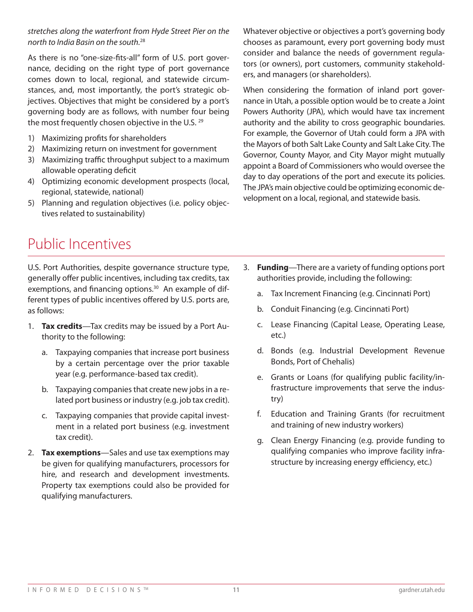As there is no "one-size-fits-all" form of U.S. port governance, deciding on the right type of port governance comes down to local, regional, and statewide circumstances, and, most importantly, the port's strategic objectives. Objectives that might be considered by a port's governing body are as follows, with number four being the most frequently chosen objective in the U.S.<sup>29</sup>

- 1) Maximizing profits for shareholders
- 2) Maximizing return on investment for government
- 3) Maximizing traffic throughput subject to a maximum allowable operating deficit
- 4) Optimizing economic development prospects (local, regional, statewide, national)
- 5) Planning and regulation objectives (i.e. policy objectives related to sustainability)

Whatever objective or objectives a port's governing body chooses as paramount, every port governing body must consider and balance the needs of government regulators (or owners), port customers, community stakeholders, and managers (or shareholders).

When considering the formation of inland port governance in Utah, a possible option would be to create a Joint Powers Authority (JPA), which would have tax increment authority and the ability to cross geographic boundaries. For example, the Governor of Utah could form a JPA with the Mayors of both Salt Lake County and Salt Lake City. The Governor, County Mayor, and City Mayor might mutually appoint a Board of Commissioners who would oversee the day to day operations of the port and execute its policies. The JPA's main objective could be optimizing economic development on a local, regional, and statewide basis.

## Public Incentives

U.S. Port Authorities, despite governance structure type, generally offer public incentives, including tax credits, tax exemptions, and financing options.<sup>30</sup> An example of different types of public incentives offered by U.S. ports are, as follows:

- 1. **Tax credits**—Tax credits may be issued by a Port Authority to the following:
	- a. Taxpaying companies that increase port business by a certain percentage over the prior taxable year (e.g. performance-based tax credit).
	- b. Taxpaying companies that create new jobs in a related port business or industry (e.g. job tax credit).
	- c. Taxpaying companies that provide capital investment in a related port business (e.g. investment tax credit).
- 2. **Tax exemptions**—Sales and use tax exemptions may be given for qualifying manufacturers, processors for hire, and research and development investments. Property tax exemptions could also be provided for qualifying manufacturers.
- 3. **Funding**—There are a variety of funding options port authorities provide, including the following:
	- a. Tax Increment Financing (e.g. Cincinnati Port)
	- b. Conduit Financing (e.g. Cincinnati Port)
	- c. Lease Financing (Capital Lease, Operating Lease, etc.)
	- d. Bonds (e.g. Industrial Development Revenue Bonds, Port of Chehalis)
	- e. Grants or Loans (for qualifying public facility/infrastructure improvements that serve the industry)
	- f. Education and Training Grants (for recruitment and training of new industry workers)
	- g. Clean Energy Financing (e.g. provide funding to qualifying companies who improve facility infrastructure by increasing energy efficiency, etc.)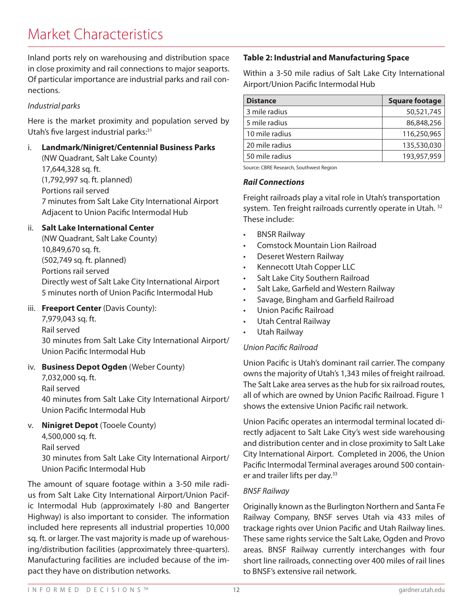## Market Characteristics

Inland ports rely on warehousing and distribution space in close proximity and rail connections to major seaports. Of particular importance are industrial parks and rail connections.

### *Industrial parks*

Here is the market proximity and population served by Utah's five largest industrial parks:<sup>31</sup>

i. **Landmark/Ninigret/Centennial Business Parks**  (NW Quadrant, Salt Lake County)

17,644,328 sq. ft. (1,792,997 sq. ft. planned) Portions rail served 7 minutes from Salt Lake City International Airport Adjacent to Union Pacific Intermodal Hub

### ii. **Salt Lake International Center**

(NW Quadrant, Salt Lake County) 10,849,670 sq. ft. (502,749 sq. ft. planned) Portions rail served Directly west of Salt Lake City International Airport 5 minutes north of Union Pacific Intermodal Hub

### iii. **Freeport Center** (Davis County):

7,979,043 sq. ft.

Rail served

30 minutes from Salt Lake City International Airport/ Union Pacific Intermodal Hub

### iv. **Business Depot Ogden** (Weber County)

7,032,000 sq. ft.

Rail served

40 minutes from Salt Lake City International Airport/ Union Pacific Intermodal Hub

### v. **Ninigret Depot** (Tooele County)

4,500,000 sq. ft.

Rail served

30 minutes from Salt Lake City International Airport/ Union Pacific Intermodal Hub

The amount of square footage within a 3-50 mile radius from Salt Lake City International Airport/Union Pacific Intermodal Hub (approximately I-80 and Bangerter Highway) is also important to consider. The information included here represents all industrial properties 10,000 sq. ft. or larger. The vast majority is made up of warehousing/distribution facilities (approximately three-quarters). Manufacturing facilities are included because of the impact they have on distribution networks.

### **Table 2: Industrial and Manufacturing Space**

Within a 3-50 mile radius of Salt Lake City International Airport/Union Pacific Intermodal Hub

| <b>Distance</b> | <b>Square footage</b> |
|-----------------|-----------------------|
| 3 mile radius   | 50,521,745            |
| 5 mile radius   | 86,848,256            |
| 10 mile radius  | 116,250,965           |
| 20 mile radius  | 135,530,030           |
| 50 mile radius  | 193,957,959           |

Source: CBRE Research, Southwest Region

#### *Rail Connections*

Freight railroads play a vital role in Utah's transportation system. Ten freight railroads currently operate in Utah.<sup>32</sup> These include:

- BNSR Railway
- Comstock Mountain Lion Railroad
- Deseret Western Railway
- Kennecott Utah Copper LLC
- Salt Lake City Southern Railroad
- Salt Lake, Garfield and Western Railway
- Savage, Bingham and Garfield Railroad
- Union Pacific Railroad
- Utah Central Railway
- Utah Railway

### *Union Pacific Railroad*

Union Pacific is Utah's dominant rail carrier. The company owns the majority of Utah's 1,343 miles of freight railroad. The Salt Lake area serves as the hub for six railroad routes, all of which are owned by Union Pacific Railroad. Figure 1 shows the extensive Union Pacific rail network.

Union Pacific operates an intermodal terminal located directly adjacent to Salt Lake City's west side warehousing and distribution center and in close proximity to Salt Lake City International Airport. Completed in 2006, the Union Pacific Intermodal Terminal averages around 500 container and trailer lifts per day.<sup>33</sup>

### *BNSF Railway*

Originally known as the Burlington Northern and Santa Fe Railway Company, BNSF serves Utah via 433 miles of trackage rights over Union Pacific and Utah Railway lines. These same rights service the Salt Lake, Ogden and Provo areas. BNSF Railway currently interchanges with four short line railroads, connecting over 400 miles of rail lines to BNSF's extensive rail network.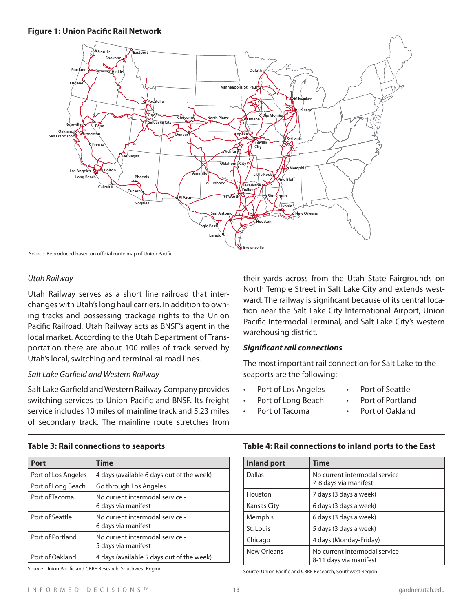#### **Figure 1: Union Pacific Rail Network**



#### *Utah Railway*

Utah Railway serves as a short line railroad that interchanges with Utah's long haul carriers. In addition to owning tracks and possessing trackage rights to the Union Pacific Railroad, Utah Railway acts as BNSF's agent in the local market. According to the Utah Department of Transportation there are about 100 miles of track served by Utah's local, switching and terminal railroad lines.

#### *Salt Lake Garfield and Western Railway*

Salt Lake Garfield and Western Railway Company provides switching services to Union Pacific and BNSF. Its freight service includes 10 miles of mainline track and 5.23 miles of secondary track. The mainline route stretches from

their yards across from the Utah State Fairgrounds on North Temple Street in Salt Lake City and extends westward. The railway is significant because of its central location near the Salt Lake City International Airport, Union Pacific Intermodal Terminal, and Salt Lake City's western warehousing district.

#### *Significant rail connections*

The most important rail connection for Salt Lake to the seaports are the following:

- Port of Los Angeles
- Port of Seattle
- Port of Long Beach
- Port of Portland
- Port of Tacoma
- Port of Oakland

## **Table 4: Rail connections to inland ports to the East**

| <b>Inland port</b> | Time                                                     |
|--------------------|----------------------------------------------------------|
| Dallas             | No current intermodal service -<br>7-8 days via manifest |
| Houston            | 7 days (3 days a week)                                   |
| Kansas City        | 6 days (3 days a week)                                   |
| Memphis            | 6 days (3 days a week)                                   |
| St. Louis          | 5 days (3 days a week)                                   |
| Chicago            | 4 days (Monday-Friday)                                   |
| New Orleans        | No current intermodal service-<br>8-11 days via manifest |

Source: Union Pacific and CBRE Research, Southwest Region

### **Table 3: Rail connections to seaports**

| Port                                                      | Time                                                   |  |  |  |
|-----------------------------------------------------------|--------------------------------------------------------|--|--|--|
| Port of Los Angeles                                       | 4 days (available 6 days out of the week)              |  |  |  |
| Port of Long Beach                                        | Go through Los Angeles                                 |  |  |  |
| Port of Tacoma                                            | No current intermodal service -<br>6 days via manifest |  |  |  |
| Port of Seattle                                           | No current intermodal service -<br>6 days via manifest |  |  |  |
| Port of Portland                                          | No current intermodal service -<br>5 days via manifest |  |  |  |
| Port of Oakland                                           | 4 days (available 5 days out of the week)              |  |  |  |
| Source: Union Pacific and CBRE Research, Southwest Region |                                                        |  |  |  |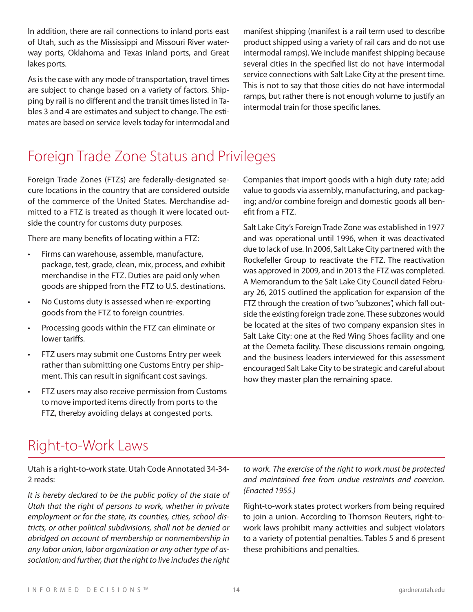In addition, there are rail connections to inland ports east of Utah, such as the Mississippi and Missouri River waterway ports, Oklahoma and Texas inland ports, and Great lakes ports.

As is the case with any mode of transportation, travel times are subject to change based on a variety of factors. Shipping by rail is no different and the transit times listed in Tables 3 and 4 are estimates and subject to change. The estimates are based on service levels today for intermodal and manifest shipping (manifest is a rail term used to describe product shipped using a variety of rail cars and do not use intermodal ramps). We include manifest shipping because several cities in the specified list do not have intermodal service connections with Salt Lake City at the present time. This is not to say that those cities do not have intermodal ramps, but rather there is not enough volume to justify an intermodal train for those specific lanes.

## Foreign Trade Zone Status and Privileges

Foreign Trade Zones (FTZs) are federally-designated secure locations in the country that are considered outside of the commerce of the United States. Merchandise admitted to a FTZ is treated as though it were located outside the country for customs duty purposes.

There are many benefits of locating within a FTZ:

- Firms can warehouse, assemble, manufacture, package, test, grade, clean, mix, process, and exhibit merchandise in the FTZ. Duties are paid only when goods are shipped from the FTZ to U.S. destinations.
- No Customs duty is assessed when re-exporting goods from the FTZ to foreign countries.
- Processing goods within the FTZ can eliminate or lower tariffs.
- FTZ users may submit one Customs Entry per week rather than submitting one Customs Entry per shipment. This can result in significant cost savings.
- FTZ users may also receive permission from Customs to move imported items directly from ports to the FTZ, thereby avoiding delays at congested ports.

Companies that import goods with a high duty rate; add value to goods via assembly, manufacturing, and packaging; and/or combine foreign and domestic goods all benefit from a FTZ.

Salt Lake City's Foreign Trade Zone was established in 1977 and was operational until 1996, when it was deactivated due to lack of use. In 2006, Salt Lake City partnered with the Rockefeller Group to reactivate the FTZ. The reactivation was approved in 2009, and in 2013 the FTZ was completed. A Memorandum to the Salt Lake City Council dated February 26, 2015 outlined the application for expansion of the FTZ through the creation of two "subzones", which fall outside the existing foreign trade zone. These subzones would be located at the sites of two company expansion sites in Salt Lake City: one at the Red Wing Shoes facility and one at the Oemeta facility. These discussions remain ongoing, and the business leaders interviewed for this assessment encouraged Salt Lake City to be strategic and careful about how they master plan the remaining space.

## Right-to-Work Laws

Utah is a right-to-work state. Utah Code Annotated 34-34- 2 reads:

*It is hereby declared to be the public policy of the state of Utah that the right of persons to work, whether in private employment or for the state, its counties, cities, school districts, or other political subdivisions, shall not be denied or abridged on account of membership or nonmembership in any labor union, labor organization or any other type of association; and further, that the right to live includes the right* 

*to work. The exercise of the right to work must be protected and maintained free from undue restraints and coercion. (Enacted 1955.)*

Right-to-work states protect workers from being required to join a union. According to Thomson Reuters, right-towork laws prohibit many activities and subject violators to a variety of potential penalties. Tables 5 and 6 present these prohibitions and penalties.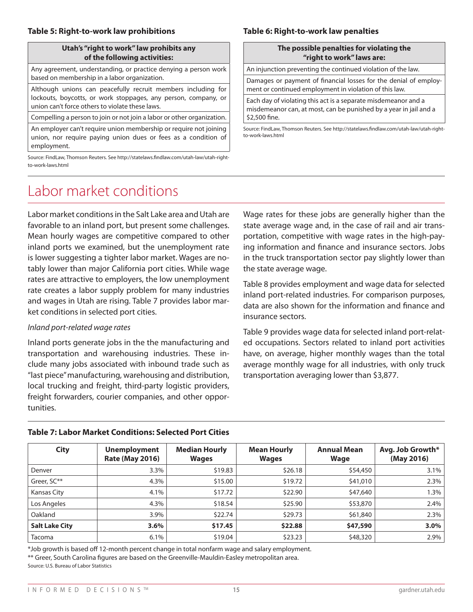#### **Utah's "right to work" law prohibits any of the following activities:**

Any agreement, understanding, or practice denying a person work based on membership in a labor organization.

Although unions can peacefully recruit members including for lockouts, boycotts, or work stoppages, any person, company, or union can't force others to violate these laws.

Compelling a person to join or not join a labor or other organization.

An employer can't require union membership or require not joining union, nor require paying union dues or fees as a condition of employment.

Source: FindLaw, Thomson Reuters. See http://statelaws.findlaw.com/utah-law/utah-rightto-work-laws.html

## Labor market conditions

Labor market conditions in the Salt Lake area and Utah are favorable to an inland port, but present some challenges. Mean hourly wages are competitive compared to other inland ports we examined, but the unemployment rate is lower suggesting a tighter labor market. Wages are notably lower than major California port cities. While wage rates are attractive to employers, the low unemployment rate creates a labor supply problem for many industries and wages in Utah are rising. Table 7 provides labor market conditions in selected port cities.

### *Inland port-related wage rates*

Inland ports generate jobs in the the manufacturing and transportation and warehousing industries. These include many jobs associated with inbound trade such as "last piece" manufacturing, warehousing and distribution, local trucking and freight, third-party logistic providers, freight forwarders, courier companies, and other opportunities.

### Wage rates for these jobs are generally higher than the state average wage and, in the case of rail and air transportation, competitive with wage rates in the high-paying information and finance and insurance sectors. Jobs in the truck transportation sector pay slightly lower than the state average wage.

Table 8 provides employment and wage data for selected inland port-related industries. For comparison purposes, data are also shown for the information and finance and insurance sectors.

Table 9 provides wage data for selected inland port-related occupations. Sectors related to inland port activities have, on average, higher monthly wages than the total average monthly wage for all industries, with only truck transportation averaging lower than \$3,877.

| <b>City</b>           | <b>Unemployment</b><br><b>Rate (May 2016)</b> | <b>Median Hourly</b><br><b>Wages</b> | <b>Mean Hourly</b><br><b>Wages</b> | <b>Annual Mean</b><br><b>Wage</b> | Avg. Job Growth*<br>(May 2016) |
|-----------------------|-----------------------------------------------|--------------------------------------|------------------------------------|-----------------------------------|--------------------------------|
| Denver                | 3.3%                                          | \$19.83                              | \$26.18                            | \$54,450                          | 3.1%                           |
| Greer, SC**           | 4.3%                                          | \$15.00                              | \$19.72                            | \$41,010                          | 2.3%                           |
| Kansas City           | 4.1%                                          | \$17.72                              | \$22.90                            | \$47,640                          | 1.3%                           |
| Los Angeles           | 4.3%                                          | \$18.54                              | \$25.90                            | \$53,870                          | 2.4%                           |
| Oakland               | 3.9%                                          | \$22.74                              | \$29.73                            | \$61,840                          | 2.3%                           |
| <b>Salt Lake City</b> | 3.6%                                          | \$17.45                              | \$22.88                            | \$47,590                          | 3.0%                           |
| Tacoma                | 6.1%                                          | \$19.04                              | \$23.23                            | \$48,320                          | 2.9%                           |

### **Table 7: Labor Market Conditions: Selected Port Cities**

\*Job growth is based off 12-month percent change in total nonfarm wage and salary employment. \*\* Greer, South Carolina figures are based on the Greenville-Mauldin-Easley metropolitan area. Source: U.S. Bureau of Labor Statistics

#### INFORMED DECISIONS TM **15** gardner.utah.edu

### **Table 6: Right-to-work law penalties**

#### **The possible penalties for violating the "right to work" laws are:**

An injunction preventing the continued violation of the law.

Damages or payment of financial losses for the denial of employment or continued employment in violation of this law.

Each day of violating this act is a separate misdemeanor and a misdemeanor can, at most, can be punished by a year in jail and a \$2,500 fine.

Source: FindLaw, Thomson Reuters. See http://statelaws.findlaw.com/utah-law/utah-rightto-work-laws.html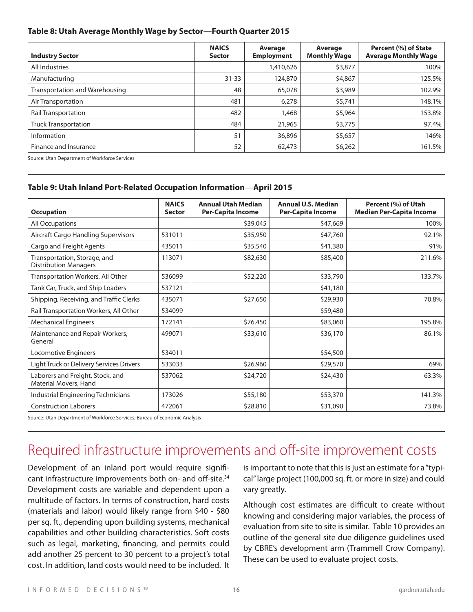#### **Table 8: Utah Average Monthly Wage by Sector**—**Fourth Quarter 2015**

| <b>Industry Sector</b>         | <b>NAICS</b><br><b>Sector</b> | Average<br><b>Employment</b> | Average<br><b>Monthly Wage</b> | Percent (%) of State<br><b>Average Monthly Wage</b> |
|--------------------------------|-------------------------------|------------------------------|--------------------------------|-----------------------------------------------------|
| All Industries                 |                               | 1,410,626                    | \$3,877                        | 100%                                                |
| Manufacturing                  | $31 - 33$                     | 124,870                      | \$4,867                        | 125.5%                                              |
| Transportation and Warehousing | 48                            | 65,078                       | \$3,989                        | 102.9%                                              |
| Air Transportation             | 481                           | 6,278                        | \$5,741                        | 148.1%                                              |
| <b>Rail Transportation</b>     | 482                           | 1,468                        | \$5,964                        | 153.8%                                              |
| Truck Transportation           | 484                           | 21,965                       | \$3,775                        | 97.4%                                               |
| Information                    | 51                            | 36,896                       | \$5,657                        | 146%                                                |
| Finance and Insurance          | 52                            | 62,473                       | \$6,262                        | 161.5%                                              |

Source: Utah Department of Workforce Services

### **Table 9: Utah Inland Port-Related Occupation Information**—**April 2015**

| <b>Occupation</b>                                            | <b>NAICS</b><br><b>Sector</b> | <b>Annual Utah Median</b><br><b>Per-Capita Income</b> | <b>Annual U.S. Median</b><br><b>Per-Capita Income</b> | Percent (%) of Utah<br><b>Median Per-Capita Income</b> |
|--------------------------------------------------------------|-------------------------------|-------------------------------------------------------|-------------------------------------------------------|--------------------------------------------------------|
| <b>All Occupations</b>                                       |                               | \$39,045                                              | \$47,669                                              | 100%                                                   |
| Aircraft Cargo Handling Supervisors                          | 531011                        | \$35,950                                              | \$47,760                                              | 92.1%                                                  |
| Cargo and Freight Agents                                     | 435011                        | \$35,540                                              | \$41,380                                              | 91%                                                    |
| Transportation, Storage, and<br><b>Distribution Managers</b> | 113071                        | \$82,630                                              | \$85,400                                              | 211.6%                                                 |
| Transportation Workers, All Other                            | 536099                        | \$52,220                                              | \$33,790                                              | 133.7%                                                 |
| Tank Car, Truck, and Ship Loaders                            | 537121                        |                                                       | \$41,180                                              |                                                        |
| Shipping, Receiving, and Traffic Clerks                      | 435071                        | \$27,650                                              | \$29,930                                              | 70.8%                                                  |
| Rail Transportation Workers, All Other                       | 534099                        |                                                       | \$59,480                                              |                                                        |
| <b>Mechanical Engineers</b>                                  | 172141                        | \$76,450                                              | \$83,060                                              | 195.8%                                                 |
| Maintenance and Repair Workers,<br>General                   | 499071                        | \$33,610                                              | \$36,170                                              | 86.1%                                                  |
| Locomotive Engineers                                         | 534011                        |                                                       | \$54,500                                              |                                                        |
| Light Truck or Delivery Services Drivers                     | 533033                        | \$26,960                                              | \$29,570                                              | 69%                                                    |
| Laborers and Freight, Stock, and<br>Material Movers, Hand    | 537062                        | \$24,720                                              | \$24,430                                              | 63.3%                                                  |
| Industrial Engineering Technicians                           | 173026                        | \$55,180                                              | \$53,370                                              | 141.3%                                                 |
| <b>Construction Laborers</b>                                 | 472061                        | \$28,810                                              | \$31,090                                              | 73.8%                                                  |

Source: Utah Department of Workforce Services; Bureau of Economic Analysis

## Required infrastructure improvements and off-site improvement costs

Development of an inland port would require significant infrastructure improvements both on- and off-site. 34 Development costs are variable and dependent upon a multitude of factors. In terms of construction, hard costs (materials and labor) would likely range from \$40 - \$80 per sq. ft., depending upon building systems, mechanical capabilities and other building characteristics. Soft costs such as legal, marketing, financing, and permits could add another 25 percent to 30 percent to a project's total cost. In addition, land costs would need to be included. It

is important to note that this is just an estimate for a "typical" large project (100,000 sq. ft. or more in size) and could vary greatly.

Although cost estimates are difficult to create without knowing and considering major variables, the process of evaluation from site to site is similar. Table 10 provides an outline of the general site due diligence guidelines used by CBRE's development arm (Trammell Crow Company). These can be used to evaluate project costs.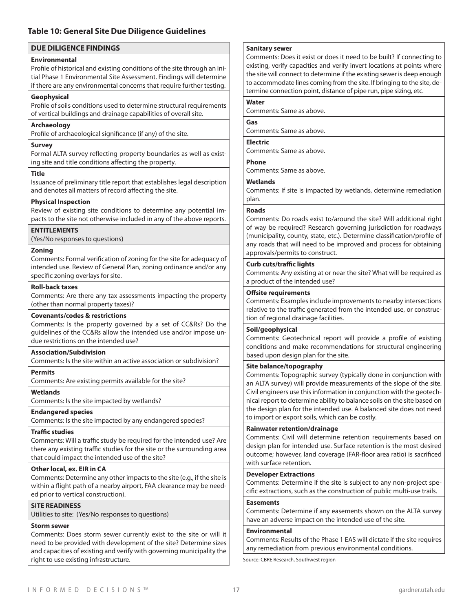#### **Table 10: General Site Due Diligence Guidelines**

#### **DUE DILIGENCE FINDINGS**

#### **Environmental**

Profile of historical and existing conditions of the site through an initial Phase 1 Environmental Site Assessment. Findings will determine if there are any environmental concerns that require further testing.

#### **Geophysical**

Profile of soils conditions used to determine structural requirements of vertical buildings and drainage capabilities of overall site.

#### **Archaeology**

Profile of archaeological significance (if any) of the site.

#### **Survey**

Formal ALTA survey reflecting property boundaries as well as existing site and title conditions affecting the property.

#### **Title**

Issuance of preliminary title report that establishes legal description and denotes all matters of record affecting the site.

#### **Physical Inspection**

Review of existing site conditions to determine any potential impacts to the site not otherwise included in any of the above reports.

**ENTITLEMENTS**

(Yes/No responses to questions)

#### **Zoning**

Comments: Formal verification of zoning for the site for adequacy of intended use. Review of General Plan, zoning ordinance and/or any specific zoning overlays for site.

#### **Roll-back taxes**

Comments: Are there any tax assessments impacting the property (other than normal property taxes)?

#### **Covenants/codes & restrictions**

Comments: Is the property governed by a set of CC&Rs? Do the guidelines of the CC&Rs allow the intended use and/or impose undue restrictions on the intended use?

#### **Association/Subdivision**

Comments: Is the site within an active association or subdivision?

#### **Permits**

Comments: Are existing permits available for the site?

#### **Wetlands**

Comments: Is the site impacted by wetlands?

#### **Endangered species**

Comments: Is the site impacted by any endangered species?

#### **Traffic studies**

Comments: Will a traffic study be required for the intended use? Are there any existing traffic studies for the site or the surrounding area that could impact the intended use of the site?

#### **Other local, ex. EIR in CA**

Comments: Determine any other impacts to the site (e.g., if the site is within a flight path of a nearby airport, FAA clearance may be needed prior to vertical construction).

#### **SITE READINESS**

Utilities to site: (Yes/No responses to questions)

#### **Storm sewer**

Comments: Does storm sewer currently exist to the site or will it need to be provided with development of the site? Determine sizes and capacities of existing and verify with governing municipality the right to use existing infrastructure.

#### **Sanitary sewer**

Comments: Does it exist or does it need to be built? If connecting to existing, verify capacities and verify invert locations at points where the site will connect to determine if the existing sewer is deep enough to accommodate lines coming from the site. If bringing to the site, determine connection point, distance of pipe run, pipe sizing, etc.

## **Water**

Comments: Same as above.

#### **Gas**

Comments: Same as above.

#### **Electric**

Comments: Same as above.

#### **Phone**

Comments: Same as above.

#### **Wetlands**

Comments: If site is impacted by wetlands, determine remediation plan.

#### **Roads**

Comments: Do roads exist to/around the site? Will additional right of way be required? Research governing jurisdiction for roadways (municipality, county, state, etc.). Determine classification/profile of any roads that will need to be improved and process for obtaining approvals/permits to construct.

#### **Curb cuts/traffic lights**

Comments: Any existing at or near the site? What will be required as a product of the intended use?

#### **Offsite requirements**

Comments: Examples include improvements to nearby intersections relative to the traffic generated from the intended use, or construction of regional drainage facilities.

#### **Soil/geophysical**

Comments: Geotechnical report will provide a profile of existing conditions and make recommendations for structural engineering based upon design plan for the site.

#### **Site balance/topography**

Comments: Topographic survey (typically done in conjunction with an ALTA survey) will provide measurements of the slope of the site. Civil engineers use this information in conjunction with the geotechnical report to determine ability to balance soils on the site based on the design plan for the intended use. A balanced site does not need to import or export soils, which can be costly.

#### **Rainwater retention/drainage**

Comments: Civil will determine retention requirements based on design plan for intended use. Surface retention is the most desired outcome; however, land coverage (FAR-floor area ratio) is sacrificed with surface retention.

#### **Developer Extractions**

Comments: Determine if the site is subject to any non-project specific extractions, such as the construction of public multi-use trails.

#### **Easements**

Comments: Determine if any easements shown on the ALTA survey have an adverse impact on the intended use of the site.

#### **Environmental**

Comments: Results of the Phase 1 EAS will dictate if the site requires any remediation from previous environmental conditions.

Source: CBRE Research, Southwest region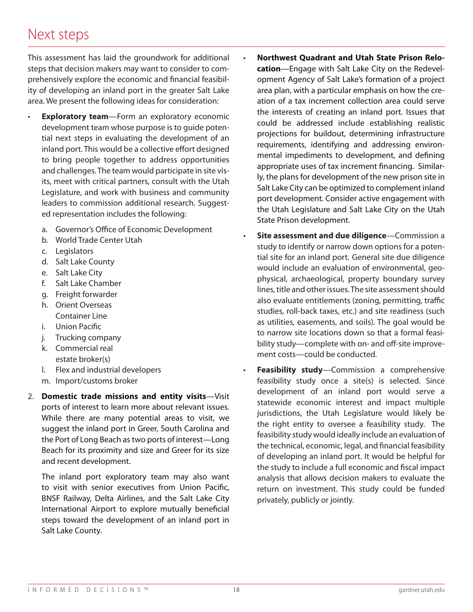## Next steps

This assessment has laid the groundwork for additional steps that decision makers may want to consider to comprehensively explore the economic and financial feasibility of developing an inland port in the greater Salt Lake area. We present the following ideas for consideration:

- **Exploratory team**—Form an exploratory economic development team whose purpose is to guide potential next steps in evaluating the development of an inland port. This would be a collective effort designed to bring people together to address opportunities and challenges. The team would participate in site visits, meet with critical partners, consult with the Utah Legislature, and work with business and community leaders to commission additional research. Suggested representation includes the following:
	- a. Governor's Office of Economic Development
	- b. World Trade Center Utah
	- c. Legislators
	- d. Salt Lake County
	- e. Salt Lake City
	- f. Salt Lake Chamber
	- g. Freight forwarder
	- h. Orient Overseas Container Line
	- i. Union Pacific
	- j. Trucking company
	- k. Commercial real estate broker(s)
	- l. Flex and industrial developers
	- m. Import/customs broker
- 2. **Domestic trade missions and entity visits**—Visit ports of interest to learn more about relevant issues. While there are many potential areas to visit, we suggest the inland port in Greer, South Carolina and the Port of Long Beach as two ports of interest—Long Beach for its proximity and size and Greer for its size and recent development.

The inland port exploratory team may also want to visit with senior executives from Union Pacific, BNSF Railway, Delta Airlines, and the Salt Lake City International Airport to explore mutually beneficial steps toward the development of an inland port in Salt Lake County.

- **Northwest Quadrant and Utah State Prison Relocation**—Engage with Salt Lake City on the Redevelopment Agency of Salt Lake's formation of a project area plan, with a particular emphasis on how the creation of a tax increment collection area could serve the interests of creating an inland port. Issues that could be addressed include establishing realistic projections for buildout, determining infrastructure requirements, identifying and addressing environmental impediments to development, and defining appropriate uses of tax increment financing. Similarly, the plans for development of the new prison site in Salt Lake City can be optimized to complement inland port development. Consider active engagement with the Utah Legislature and Salt Lake City on the Utah State Prison development.
- **Site assessment and due diligence**—Commission a study to identify or narrow down options for a potential site for an inland port. General site due diligence would include an evaluation of environmental, geophysical, archaeological, property boundary survey lines, title and other issues. The site assessment should also evaluate entitlements (zoning, permitting, traffic studies, roll-back taxes, etc.) and site readiness (such as utilities, easements, and soils). The goal would be to narrow site locations down so that a formal feasibility study—complete with on- and off-site improvement costs—could be conducted.
- **Feasibility study**—Commission a comprehensive feasibility study once a site(s) is selected. Since development of an inland port would serve a statewide economic interest and impact multiple jurisdictions, the Utah Legislature would likely be the right entity to oversee a feasibility study. The feasibility study would ideally include an evaluation of the technical, economic, legal, and financial feasibility of developing an inland port. It would be helpful for the study to include a full economic and fiscal impact analysis that allows decision makers to evaluate the return on investment. This study could be funded privately, publicly or jointly.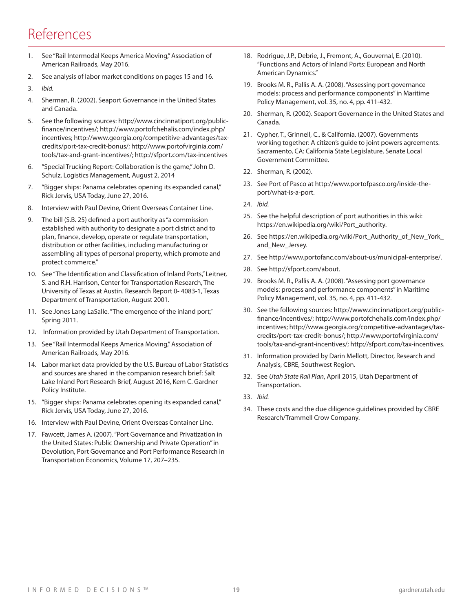## References

- 1. See "Rail Intermodal Keeps America Moving," Association of American Railroads, May 2016.
- 2. See analysis of labor market conditions on pages 15 and 16.
- 3. *Ibid.*
- 4. Sherman, R. (2002). Seaport Governance in the United States and Canada.
- 5. See the following sources: http://www.cincinnatiport.org/publicfinance/incentives/; http://www.portofchehalis.com/index.php/ incentives; http://www.georgia.org/competitive-advantages/taxcredits/port-tax-credit-bonus/; http://www.portofvirginia.com/ tools/tax-and-grant-incentives/; http://sfport.com/tax-incentives
- 6. "Special Trucking Report: Collaboration is the game," John D. Schulz, Logistics Management, August 2, 2014
- 7. "Bigger ships: Panama celebrates opening its expanded canal," Rick Jervis, USA Today, June 27, 2016.
- 8. Interview with Paul Devine, Orient Overseas Container Line.
- 9. The bill (S.B. 25) defined a port authority as "a commission established with authority to designate a port district and to plan, finance, develop, operate or regulate transportation, distribution or other facilities, including manufacturing or assembling all types of personal property, which promote and protect commerce."
- 10. See "The Identification and Classification of Inland Ports," Leitner, S. and R.H. Harrison, Center for Transportation Research, The University of Texas at Austin. Research Report 0- 4083-1, Texas Department of Transportation, August 2001.
- 11. See Jones Lang LaSalle. "The emergence of the inland port," Spring 2011.
- 12. Information provided by Utah Department of Transportation.
- 13. See "Rail Intermodal Keeps America Moving," Association of American Railroads, May 2016.
- 14. Labor market data provided by the U.S. Bureau of Labor Statistics and sources are shared in the companion research brief: Salt Lake Inland Port Research Brief, August 2016, Kem C. Gardner Policy Institute.
- 15. "Bigger ships: Panama celebrates opening its expanded canal," Rick Jervis, USA Today, June 27, 2016.
- 16. Interview with Paul Devine, Orient Overseas Container Line.
- 17. Fawcett, James A. (2007). "Port Governance and Privatization in the United States: Public Ownership and Private Operation" in Devolution, Port Governance and Port Performance Research in Transportation Economics, Volume 17, 207–235.
- 18. Rodrigue, J.P., Debrie, J., Fremont, A., Gouvernal, E. (2010). "Functions and Actors of Inland Ports: European and North American Dynamics."
- 19. Brooks M. R., Pallis A. A. (2008). "Assessing port governance models: process and performance components" in Maritime Policy Management, vol. 35, no. 4, pp. 411-432.
- 20. Sherman, R. (2002). Seaport Governance in the United States and Canada.
- 21. Cypher, T., Grinnell, C., & California. (2007). Governments working together: A citizen's guide to joint powers agreements. Sacramento, CA: California State Legislature, Senate Local Government Committee.
- 22. Sherman, R. (2002).
- 23. See Port of Pasco at http://www.portofpasco.org/inside-theport/what-is-a-port.
- 24. *Ibid.*
- 25. See the helpful description of port authorities in this wiki: https://en.wikipedia.org/wiki/Port\_authority.
- 26. See https://en.wikipedia.org/wiki/Port\_Authority\_of\_New\_York\_ and\_New\_Jersey.
- 27. See http://www.portofanc.com/about-us/municipal-enterprise/.
- 28. See http://sfport.com/about.
- 29. Brooks M. R., Pallis A. A. (2008). "Assessing port governance models: process and performance components" in Maritime Policy Management, vol. 35, no. 4, pp. 411-432.
- 30. See the following sources: http://www.cincinnatiport.org/publicfinance/incentives/; http://www.portofchehalis.com/index.php/ incentives; http://www.georgia.org/competitive-advantages/taxcredits/port-tax-credit-bonus/; http://www.portofvirginia.com/ tools/tax-and-grant-incentives/; http://sfport.com/tax-incentives.
- 31. Information provided by Darin Mellott, Director, Research and Analysis, CBRE, Southwest Region.
- 32. See *Utah State Rail Plan*, April 2015, Utah Department of Transportation.
- 33. *Ibid.*
- 34. These costs and the due diligence guidelines provided by CBRE Research/Trammell Crow Company.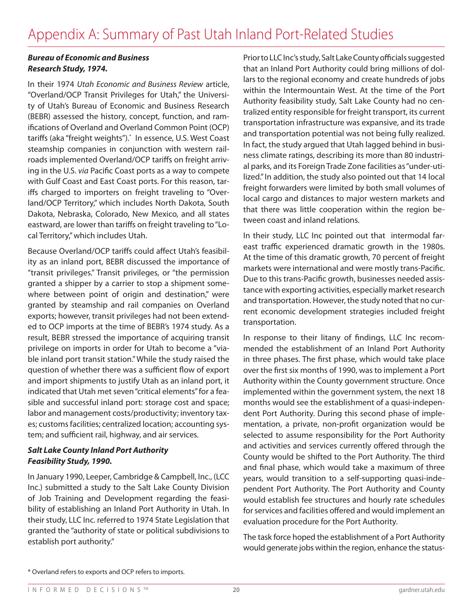### *Bureau of Economic and Business Research Study, 1974.*

In their 1974 *Utah Economic and Business Review* article, "Overland/OCP Transit Privileges for Utah," the University of Utah's Bureau of Economic and Business Research (BEBR) assessed the history, concept, function, and ramifications of Overland and Overland Common Point (OCP) tariffs (aka "freight weights"). \* In essence, U.S. West Coast steamship companies in conjunction with western railroads implemented Overland/OCP tariffs on freight arriving in the U.S. *via* Pacific Coast ports as a way to compete with Gulf Coast and East Coast ports. For this reason, tariffs charged to importers on freight traveling to "Overland/OCP Territory," which includes North Dakota, South Dakota, Nebraska, Colorado, New Mexico, and all states eastward, are lower than tariffs on freight traveling to "Local Territory," which includes Utah.

Because Overland/OCP tariffs could affect Utah's feasibility as an inland port, BEBR discussed the importance of "transit privileges." Transit privileges, or "the permission granted a shipper by a carrier to stop a shipment somewhere between point of origin and destination," were granted by steamship and rail companies on Overland exports; however, transit privileges had not been extended to OCP imports at the time of BEBR's 1974 study. As a result, BEBR stressed the importance of acquiring transit privilege on imports in order for Utah to become a "viable inland port transit station." While the study raised the question of whether there was a sufficient flow of export and import shipments to justify Utah as an inland port, it indicated that Utah met seven "critical elements" for a feasible and successful inland port: storage cost and space; labor and management costs/productivity; inventory taxes; customs facilities; centralized location; accounting system; and sufficient rail, highway, and air services.

### *Salt Lake County Inland Port Authority Feasibility Study, 1990.*

In January 1990, Leeper, Cambridge & Campbell, Inc., (LCC Inc.) submitted a study to the Salt Lake County Division of Job Training and Development regarding the feasibility of establishing an Inland Port Authority in Utah. In their study, LLC Inc. referred to 1974 State Legislation that granted the "authority of state or political subdivisions to establish port authority."

Prior to LLC Inc's study, Salt Lake County officials suggested that an Inland Port Authority could bring millions of dollars to the regional economy and create hundreds of jobs within the Intermountain West. At the time of the Port Authority feasibility study, Salt Lake County had no centralized entity responsible for freight transport, its current transportation infrastructure was expansive, and its trade and transportation potential was not being fully realized. In fact, the study argued that Utah lagged behind in business climate ratings, describing its more than 80 industrial parks, and its Foreign Trade Zone facilities as "under-utilized." In addition, the study also pointed out that 14 local freight forwarders were limited by both small volumes of local cargo and distances to major western markets and that there was little cooperation within the region between coast and inland relations.

In their study, LLC Inc pointed out that intermodal fareast traffic experienced dramatic growth in the 1980s. At the time of this dramatic growth, 70 percent of freight markets were international and were mostly trans-Pacific. Due to this trans-Pacific growth, businesses needed assistance with exporting activities, especially market research and transportation. However, the study noted that no current economic development strategies included freight transportation.

In response to their litany of findings, LLC Inc recommended the establishment of an Inland Port Authority in three phases. The first phase, which would take place over the first six months of 1990, was to implement a Port Authority within the County government structure. Once implemented within the government system, the next 18 months would see the establishment of a quasi-independent Port Authority. During this second phase of implementation, a private, non-profit organization would be selected to assume responsibility for the Port Authority and activities and services currently offered through the County would be shifted to the Port Authority. The third and final phase, which would take a maximum of three years, would transition to a self-supporting quasi-independent Port Authority. The Port Authority and County would establish fee structures and hourly rate schedules for services and facilities offered and would implement an evaluation procedure for the Port Authority.

The task force hoped the establishment of a Port Authority would generate jobs within the region, enhance the status-

<sup>\*</sup> Overland refers to exports and OCP refers to imports.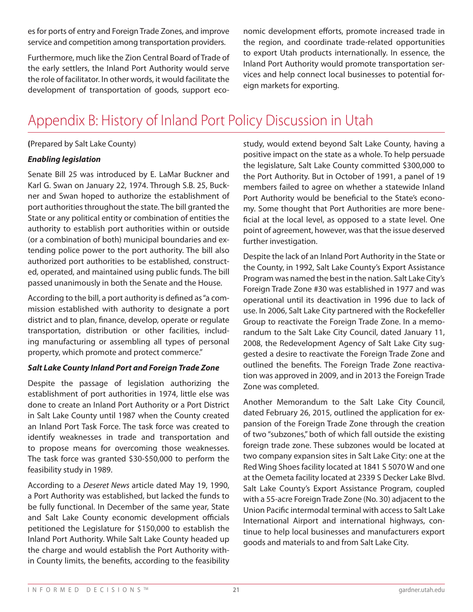es for ports of entry and Foreign Trade Zones, and improve service and competition among transportation providers.

Furthermore, much like the Zion Central Board of Trade of the early settlers, the Inland Port Authority would serve the role of facilitator. In other words, it would facilitate the development of transportation of goods, support economic development efforts, promote increased trade in the region, and coordinate trade-related opportunities to export Utah products internationally. In essence, the Inland Port Authority would promote transportation services and help connect local businesses to potential foreign markets for exporting.

## Appendix B: History of Inland Port Policy Discussion in Utah

### **(**Prepared by Salt Lake County)

### *Enabling legislation*

Senate Bill 25 was introduced by E. LaMar Buckner and Karl G. Swan on January 22, 1974. Through S.B. 25, Buckner and Swan hoped to authorize the establishment of port authorities throughout the state. The bill granted the State or any political entity or combination of entities the authority to establish port authorities within or outside (or a combination of both) municipal boundaries and extending police power to the port authority. The bill also authorized port authorities to be established, constructed, operated, and maintained using public funds. The bill passed unanimously in both the Senate and the House.

According to the bill, a port authority is defined as "a commission established with authority to designate a port district and to plan, finance, develop, operate or regulate transportation, distribution or other facilities, including manufacturing or assembling all types of personal property, which promote and protect commerce."

### *Salt Lake County Inland Port and Foreign Trade Zone*

Despite the passage of legislation authorizing the establishment of port authorities in 1974, little else was done to create an Inland Port Authority or a Port District in Salt Lake County until 1987 when the County created an Inland Port Task Force. The task force was created to identify weaknesses in trade and transportation and to propose means for overcoming those weaknesses. The task force was granted \$30-\$50,000 to perform the feasibility study in 1989.

According to a *Deseret News* article dated May 19, 1990, a Port Authority was established, but lacked the funds to be fully functional. In December of the same year, State and Salt Lake County economic development officials petitioned the Legislature for \$150,000 to establish the Inland Port Authority. While Salt Lake County headed up the charge and would establish the Port Authority within County limits, the benefits, according to the feasibility study, would extend beyond Salt Lake County, having a positive impact on the state as a whole. To help persuade the legislature, Salt Lake County committed \$300,000 to the Port Authority. But in October of 1991, a panel of 19 members failed to agree on whether a statewide Inland Port Authority would be beneficial to the State's economy. Some thought that Port Authorities are more beneficial at the local level, as opposed to a state level. One point of agreement, however, was that the issue deserved further investigation.

Despite the lack of an Inland Port Authority in the State or the County, in 1992, Salt Lake County's Export Assistance Program was named the best in the nation. Salt Lake City's Foreign Trade Zone #30 was established in 1977 and was operational until its deactivation in 1996 due to lack of use. In 2006, Salt Lake City partnered with the Rockefeller Group to reactivate the Foreign Trade Zone. In a memorandum to the Salt Lake City Council, dated January 11, 2008, the Redevelopment Agency of Salt Lake City suggested a desire to reactivate the Foreign Trade Zone and outlined the benefits. The Foreign Trade Zone reactivation was approved in 2009, and in 2013 the Foreign Trade Zone was completed.

Another Memorandum to the Salt Lake City Council, dated February 26, 2015, outlined the application for expansion of the Foreign Trade Zone through the creation of two "subzones," both of which fall outside the existing foreign trade zone. These subzones would be located at two company expansion sites in Salt Lake City: one at the Red Wing Shoes facility located at 1841 S 5070 W and one at the Oemeta facility located at 2339 S Decker Lake Blvd. Salt Lake County's Export Assistance Program, coupled with a 55-acre Foreign Trade Zone (No. 30) adjacent to the Union Pacific intermodal terminal with access to Salt Lake International Airport and international highways, continue to help local businesses and manufacturers export goods and materials to and from Salt Lake City.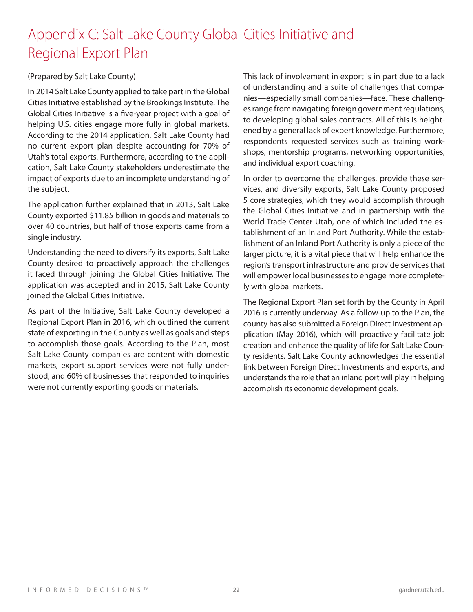## Appendix C: Salt Lake County Global Cities Initiative and Regional Export Plan

### (Prepared by Salt Lake County)

In 2014 Salt Lake County applied to take part in the Global Cities Initiative established by the Brookings Institute. The Global Cities Initiative is a five-year project with a goal of helping U.S. cities engage more fully in global markets. According to the 2014 application, Salt Lake County had no current export plan despite accounting for 70% of Utah's total exports. Furthermore, according to the application, Salt Lake County stakeholders underestimate the impact of exports due to an incomplete understanding of the subject.

The application further explained that in 2013, Salt Lake County exported \$11.85 billion in goods and materials to over 40 countries, but half of those exports came from a single industry.

Understanding the need to diversify its exports, Salt Lake County desired to proactively approach the challenges it faced through joining the Global Cities Initiative. The application was accepted and in 2015, Salt Lake County joined the Global Cities Initiative.

As part of the Initiative, Salt Lake County developed a Regional Export Plan in 2016, which outlined the current state of exporting in the County as well as goals and steps to accomplish those goals. According to the Plan, most Salt Lake County companies are content with domestic markets, export support services were not fully understood, and 60% of businesses that responded to inquiries were not currently exporting goods or materials.

This lack of involvement in export is in part due to a lack of understanding and a suite of challenges that companies—especially small companies—face. These challenges range from navigating foreign government regulations, to developing global sales contracts. All of this is heightened by a general lack of expert knowledge. Furthermore, respondents requested services such as training workshops, mentorship programs, networking opportunities, and individual export coaching.

In order to overcome the challenges, provide these services, and diversify exports, Salt Lake County proposed 5 core strategies, which they would accomplish through the Global Cities Initiative and in partnership with the World Trade Center Utah, one of which included the establishment of an Inland Port Authority. While the establishment of an Inland Port Authority is only a piece of the larger picture, it is a vital piece that will help enhance the region's transport infrastructure and provide services that will empower local businesses to engage more completely with global markets.

The Regional Export Plan set forth by the County in April 2016 is currently underway. As a follow-up to the Plan, the county has also submitted a Foreign Direct Investment application (May 2016), which will proactively facilitate job creation and enhance the quality of life for Salt Lake County residents. Salt Lake County acknowledges the essential link between Foreign Direct Investments and exports, and understands the role that an inland port will play in helping accomplish its economic development goals.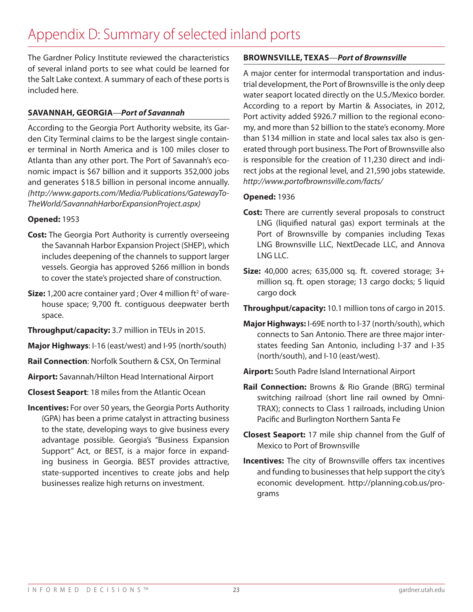## Appendix D: Summary of selected inland ports

The Gardner Policy Institute reviewed the characteristics of several inland ports to see what could be learned for the Salt Lake context. A summary of each of these ports is included here.

### **SAVANNAH, GEORGIA**—*Port of Savannah*

According to the Georgia Port Authority website, its Garden City Terminal claims to be the largest single container terminal in North America and is 100 miles closer to Atlanta than any other port. The Port of Savannah's economic impact is \$67 billion and it supports 352,000 jobs and generates \$18.5 billion in personal income annually. *(http://www.gaports.com/Media/Publications/GatewayTo-TheWorld/SavannahHarborExpansionProject.aspx)*

### **Opened:** 1953

- **Cost:** The Georgia Port Authority is currently overseeing the Savannah Harbor Expansion Project (SHEP), which includes deepening of the channels to support larger vessels. Georgia has approved \$266 million in bonds to cover the state's projected share of construction.
- **Size:** 1,200 acre container yard ; Over 4 million ft<sup>2</sup> of warehouse space; 9,700 ft. contiguous deepwater berth space.
- **Throughput/capacity:** 3.7 million in TEUs in 2015.
- **Major Highways**: I-16 (east/west) and I-95 (north/south)
- **Rail Connection**: Norfolk Southern & CSX, On Terminal
- **Airport:** Savannah/Hilton Head International Airport
- **Closest Seaport**: 18 miles from the Atlantic Ocean
- **Incentives:** For over 50 years, the Georgia Ports Authority (GPA) has been a prime catalyst in attracting business to the state, developing ways to give business every advantage possible. Georgia's "Business Expansion Support" Act, or BEST, is a major force in expanding business in Georgia. BEST provides attractive, state-supported incentives to create jobs and help businesses realize high returns on investment.

### **BROWNSVILLE, TEXAS**—*Port of Brownsville*

A major center for intermodal transportation and industrial development, the Port of Brownsville is the only deep water seaport located directly on the U.S./Mexico border. According to a report by Martin & Associates, in 2012, Port activity added \$926.7 million to the regional economy, and more than \$2 billion to the state's economy. More than \$134 million in state and local sales tax also is generated through port business. The Port of Brownsville also is responsible for the creation of 11,230 direct and indirect jobs at the regional level, and 21,590 jobs statewide. *http://www.portofbrownsville.com/facts/*

### **Opened:** 1936

- **Cost:** There are currently several proposals to construct LNG (liquified natural gas) export terminals at the Port of Brownsville by companies including Texas LNG Brownsville LLC, NextDecade LLC, and Annova LNG LLC.
- **Size:** 40,000 acres; 635,000 sq. ft. covered storage; 3+ million sq. ft. open storage; 13 cargo docks; 5 liquid cargo dock
- **Throughput/capacity:** 10.1 million tons of cargo in 2015.
- **Major Highways:** I-69E north to I-37 (north/south), which connects to San Antonio. There are three major interstates feeding San Antonio, including I-37 and I-35 (north/south), and I-10 (east/west).
- **Airport:** South Padre Island International Airport
- **Rail Connection:** Browns & Rio Grande (BRG) terminal switching railroad (short line rail owned by Omni-TRAX); connects to Class 1 railroads, including Union Pacific and Burlington Northern Santa Fe
- **Closest Seaport:** 17 mile ship channel from the Gulf of Mexico to Port of Brownsville
- **Incentives:** The city of Brownsville offers tax incentives and funding to businesses that help support the city's economic development. http://planning.cob.us/programs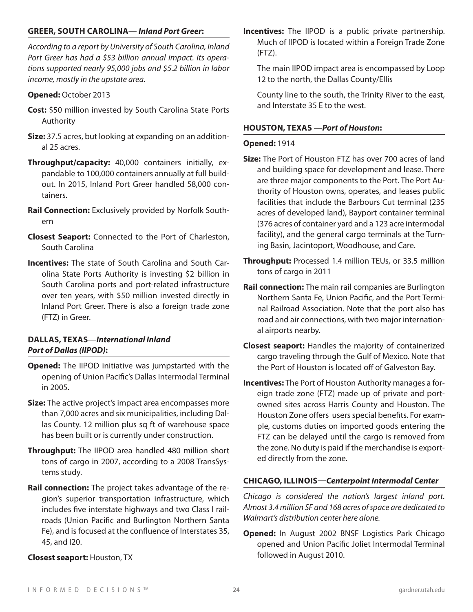### **GREER, SOUTH CAROLINA**— *Inland Port Greer***:**

*According to a report by University of South Carolina, Inland Port Greer has had a \$53 billion annual impact. Its operations supported nearly 95,000 jobs and \$5.2 billion in labor income, mostly in the upstate area.*

#### **Opened:** October 2013

- **Cost:** \$50 million invested by South Carolina State Ports Authority
- **Size:** 37.5 acres, but looking at expanding on an additional 25 acres.
- **Throughput/capacity:** 40,000 containers initially, expandable to 100,000 containers annually at full buildout. In 2015, Inland Port Greer handled 58,000 containers.
- **Rail Connection:** Exclusively provided by Norfolk Southern
- **Closest Seaport:** Connected to the Port of Charleston, South Carolina
- **Incentives:** The state of South Carolina and South Carolina State Ports Authority is investing \$2 billion in South Carolina ports and port-related infrastructure over ten years, with \$50 million invested directly in Inland Port Greer. There is also a foreign trade zone (FTZ) in Greer.

### **DALLAS, TEXAS**—*International Inland Port of Dallas (IIPOD)***:**

- **Opened:** The IIPOD initiative was jumpstarted with the opening of Union Pacific's Dallas Intermodal Terminal in 2005.
- **Size:** The active project's impact area encompasses more than 7,000 acres and six municipalities, including Dallas County. 12 million plus sq ft of warehouse space has been built or is currently under construction.
- **Throughput:** The IIPOD area handled 480 million short tons of cargo in 2007, according to a 2008 TransSystems study.
- **Rail connection:** The project takes advantage of the region's superior transportation infrastructure, which includes five interstate highways and two Class I railroads (Union Pacific and Burlington Northern Santa Fe), and is focused at the confluence of Interstates 35, 45, and I20.

#### **Closest seaport:** Houston, TX

**Incentives:** The IIPOD is a public private partnership. Much of IIPOD is located within a Foreign Trade Zone (FTZ).

The main IIPOD impact area is encompassed by Loop 12 to the north, the Dallas County/Ellis

County line to the south, the Trinity River to the east, and Interstate 35 E to the west.

#### **HOUSTON, TEXAS** —*Port of Houston***:**

#### **Opened:** 1914

- **Size:** The Port of Houston FTZ has over 700 acres of land and building space for development and lease. There are three major components to the Port. The Port Authority of Houston owns, operates, and leases public facilities that include the Barbours Cut terminal (235 acres of developed land), Bayport container terminal (376 acres of container yard and a 123 acre intermodal facility), and the general cargo terminals at the Turning Basin, Jacintoport, Woodhouse, and Care.
- **Throughput:** Processed 1.4 million TEUs, or 33.5 million tons of cargo in 2011
- **Rail connection:** The main rail companies are Burlington Northern Santa Fe, Union Pacific, and the Port Terminal Railroad Association. Note that the port also has road and air connections, with two major international airports nearby.
- **Closest seaport:** Handles the majority of containerized cargo traveling through the Gulf of Mexico. Note that the Port of Houston is located off of Galveston Bay.
- **Incentives:** The Port of Houston Authority manages a foreign trade zone (FTZ) made up of private and portowned sites across Harris County and Houston. The Houston Zone offers users special benefits. For example, customs duties on imported goods entering the FTZ can be delayed until the cargo is removed from the zone. No duty is paid if the merchandise is exported directly from the zone.

### **CHICAGO, ILLINOIS**—*Centerpoint Intermodal Center*

*Chicago is considered the nation's largest inland port. Almost 3.4 million SF and 168 acres of space are dedicated to Walmart's distribution center here alone.*

**Opened:** In August 2002 BNSF Logistics Park Chicago opened and Union Pacific Joliet Intermodal Terminal followed in August 2010.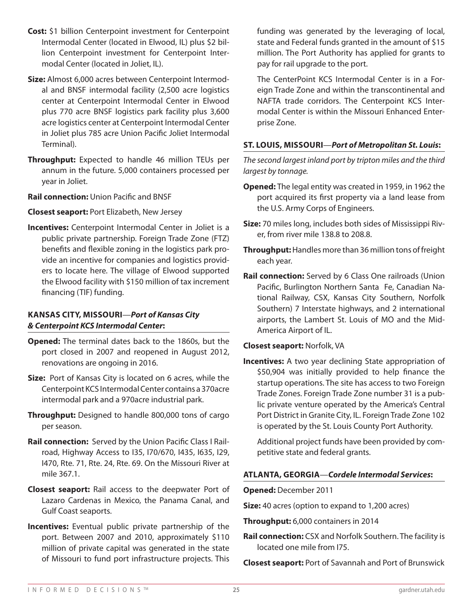- **Cost:** \$1 billion Centerpoint investment for Centerpoint Intermodal Center (located in Elwood, IL) plus \$2 billion Centerpoint investment for Centerpoint Intermodal Center (located in Joliet, IL).
- **Size:** Almost 6,000 acres between Centerpoint Intermodal and BNSF intermodal facility (2,500 acre logistics center at Centerpoint Intermodal Center in Elwood plus 770 acre BNSF logistics park facility plus 3,600 acre logistics center at Centerpoint Intermodal Center in Joliet plus 785 acre Union Pacific Joliet Intermodal Terminal).
- **Throughput:** Expected to handle 46 million TEUs per annum in the future. 5,000 containers processed per year in Joliet.
- **Rail connection:** Union Pacific and BNSF
- **Closest seaport:** Port Elizabeth, New Jersey
- **Incentives:** Centerpoint Intermodal Center in Joliet is a public private partnership. Foreign Trade Zone (FTZ) benefits and flexible zoning in the logistics park provide an incentive for companies and logistics providers to locate here. The village of Elwood supported the Elwood facility with \$150 million of tax increment financing (TIF) funding.

### **KANSAS CITY, MISSOURI**—*Port of Kansas City & Centerpoint KCS Intermodal Center***:**

- **Opened:** The terminal dates back to the 1860s, but the port closed in 2007 and reopened in August 2012, renovations are ongoing in 2016.
- **Size:** Port of Kansas City is located on 6 acres, while the Centerpoint KCS Intermodal Center contains a 370acre intermodal park and a 970acre industrial park.
- **Throughput:** Designed to handle 800,000 tons of cargo per season.
- Rail connection: Served by the Union Pacific Class I Railroad, Highway Access to I35, I70/670, I435, I635, I29, I470, Rte. 71, Rte. 24, Rte. 69. On the Missouri River at mile 367.1.
- **Closest seaport:** Rail access to the deepwater Port of Lazaro Cardenas in Mexico, the Panama Canal, and Gulf Coast seaports.
- **Incentives:** Eventual public private partnership of the port. Between 2007 and 2010, approximately \$110 million of private capital was generated in the state of Missouri to fund port infrastructure projects. This

funding was generated by the leveraging of local, state and Federal funds granted in the amount of \$15 million. The Port Authority has applied for grants to pay for rail upgrade to the port.

The CenterPoint KCS Intermodal Center is in a Foreign Trade Zone and within the transcontinental and NAFTA trade corridors. The Centerpoint KCS Intermodal Center is within the Missouri Enhanced Enterprise Zone.

### **ST. LOUIS, MISSOURI**—*Port of Metropolitan St. Louis***:**

*The second largest inland port by tripton miles and the third largest by tonnage.*

- **Opened:** The legal entity was created in 1959, in 1962 the port acquired its first property via a land lease from the U.S. Army Corps of Engineers.
- **Size:** 70 miles long, includes both sides of Mississippi River, from river mile 138.8 to 208.8.
- **Throughput:** Handles more than 36 million tons of freight each year.
- **Rail connection:** Served by 6 Class One railroads (Union Pacific, Burlington Northern Santa Fe, Canadian National Railway, CSX, Kansas City Southern, Norfolk Southern) 7 Interstate highways, and 2 international airports, the Lambert St. Louis of MO and the Mid-America Airport of IL.

### **Closest seaport:** Norfolk, VA

**Incentives:** A two year declining State appropriation of \$50,904 was initially provided to help finance the startup operations. The site has access to two Foreign Trade Zones. Foreign Trade Zone number 31 is a public private venture operated by the America's Central Port District in Granite City, IL. Foreign Trade Zone 102 is operated by the St. Louis County Port Authority.

Additional project funds have been provided by competitive state and federal grants.

### **ATLANTA, GEORGIA**—*Cordele Intermodal Services***:**

**Opened:** December 2011

**Size:** 40 acres (option to expand to 1,200 acres)

**Throughput:** 6,000 containers in 2014

**Rail connection:** CSX and Norfolk Southern. The facility is located one mile from I75.

**Closest seaport:** Port of Savannah and Port of Brunswick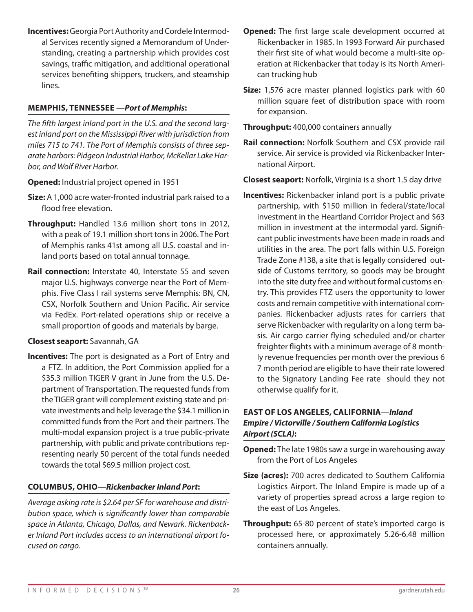**Incentives:** Georgia Port Authority and Cordele Intermodal Services recently signed a Memorandum of Understanding, creating a partnership which provides cost savings, traffic mitigation, and additional operational services benefiting shippers, truckers, and steamship lines.

### **MEMPHIS, TENNESSEE** —*Port of Memphis***:**

*The fifth largest inland port in the U.S. and the second largest inland port on the Mississippi River with jurisdiction from miles 715 to 741. The Port of Memphis consists of three separate harbors: Pidgeon Industrial Harbor, McKellar Lake Harbor, and Wolf River Harbor.*

**Opened:** Industrial project opened in 1951

- **Size:** A 1,000 acre water-fronted industrial park raised to a flood free elevation.
- **Throughput:** Handled 13.6 million short tons in 2012, with a peak of 19.1 million short tons in 2006. The Port of Memphis ranks 41st among all U.S. coastal and inland ports based on total annual tonnage.
- **Rail connection:** Interstate 40, Interstate 55 and seven major U.S. highways converge near the Port of Memphis. Five Class I rail systems serve Memphis: BN, CN, CSX, Norfolk Southern and Union Pacific. Air service via FedEx. Port-related operations ship or receive a small proportion of goods and materials by barge.

### **Closest seaport:** Savannah, GA

**Incentives:** The port is designated as a Port of Entry and a FTZ. In addition, the Port Commission applied for a \$35.3 million TIGER V grant in June from the U.S. Department of Transportation. The requested funds from the TIGER grant will complement existing state and private investments and help leverage the \$34.1 million in committed funds from the Port and their partners. The multi-modal expansion project is a true public-private partnership, with public and private contributions representing nearly 50 percent of the total funds needed towards the total \$69.5 million project cost.

### **COLUMBUS, OHIO**—*Rickenbacker Inland Port***:**

*Average asking rate is \$2.64 per SF for warehouse and distribution space, which is significantly lower than comparable space in Atlanta, Chicago, Dallas, and Newark. Rickenbacker Inland Port includes access to an international airport focused on cargo.*

- **Opened:** The first large scale development occurred at Rickenbacker in 1985. In 1993 Forward Air purchased their first site of what would become a multi-site operation at Rickenbacker that today is its North American trucking hub
- **Size:** 1,576 acre master planned logistics park with 60 million square feet of distribution space with room for expansion.

**Throughput:** 400,000 containers annually

**Rail connection:** Norfolk Southern and CSX provide rail service. Air service is provided via Rickenbacker International Airport.

**Closest seaport:** Norfolk, Virginia is a short 1.5 day drive

**Incentives:** Rickenbacker inland port is a public private partnership, with \$150 million in federal/state/local investment in the Heartland Corridor Project and \$63 million in investment at the intermodal yard. Significant public investments have been made in roads and utilities in the area. The port falls within U.S. Foreign Trade Zone #138, a site that is legally considered outside of Customs territory, so goods may be brought into the site duty free and without formal customs entry. This provides FTZ users the opportunity to lower costs and remain competitive with international companies. Rickenbacker adjusts rates for carriers that serve Rickenbacker with regularity on a long term basis. Air cargo carrier flying scheduled and/or charter freighter flights with a minimum average of 8 monthly revenue frequencies per month over the previous 6 7 month period are eligible to have their rate lowered to the Signatory Landing Fee rate should they not otherwise qualify for it.

### **EAST OF LOS ANGELES, CALIFORNIA**—*Inland Empire / Victorville / Southern California Logistics Airport (SCLA)***:**

**Opened:** The late 1980s saw a surge in warehousing away from the Port of Los Angeles

- **Size (acres):** 700 acres dedicated to Southern California Logistics Airport. The Inland Empire is made up of a variety of properties spread across a large region to the east of Los Angeles.
- **Throughput:** 65-80 percent of state's imported cargo is processed here, or approximately 5.26-6.48 million containers annually.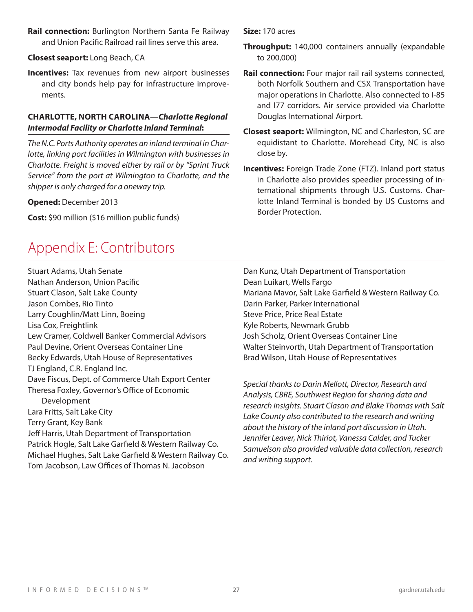**Rail connection:** Burlington Northern Santa Fe Railway and Union Pacific Railroad rail lines serve this area.

### **Closest seaport:** Long Beach, CA

**Incentives:** Tax revenues from new airport businesses and city bonds help pay for infrastructure improvements.

### **CHARLOTTE, NORTH CAROLINA**—*Charlotte Regional Intermodal Facility or Charlotte Inland Terminal***:**

*The N.C. Ports Authority operates an inland terminal in Charlotte, linking port facilities in Wilmington with businesses in Charlotte. Freight is moved either by rail or by "Sprint Truck Service" from the port at Wilmington to Charlotte, and the shipper is only charged for a oneway trip.*

### **Opened:** December 2013

**Cost:** \$90 million (\$16 million public funds)

## Appendix E: Contributors

Stuart Adams, Utah Senate Nathan Anderson, Union Pacific Stuart Clason, Salt Lake County Jason Combes, Rio Tinto Larry Coughlin/Matt Linn, Boeing Lisa Cox, Freightlink Lew Cramer, Coldwell Banker Commercial Advisors Paul Devine, Orient Overseas Container Line Becky Edwards, Utah House of Representatives TJ England, C.R. England Inc. Dave Fiscus, Dept. of Commerce Utah Export Center Theresa Foxley, Governor's Office of Economic Development Lara Fritts, Salt Lake City Terry Grant, Key Bank Jeff Harris, Utah Department of Transportation Patrick Hogle, Salt Lake Garfield & Western Railway Co. Michael Hughes, Salt Lake Garfield & Western Railway Co. Tom Jacobson, Law Offices of Thomas N. Jacobson

**Size:** 170 acres

- **Throughput:** 140,000 containers annually (expandable to 200,000)
- **Rail connection:** Four major rail rail systems connected, both Norfolk Southern and CSX Transportation have major operations in Charlotte. Also connected to I-85 and I77 corridors. Air service provided via Charlotte Douglas International Airport.
- **Closest seaport:** Wilmington, NC and Charleston, SC are equidistant to Charlotte. Morehead City, NC is also close by.
- **Incentives:** Foreign Trade Zone (FTZ). Inland port status in Charlotte also provides speedier processing of international shipments through U.S. Customs. Charlotte Inland Terminal is bonded by US Customs and Border Protection.

Dan Kunz, Utah Department of Transportation Dean Luikart, Wells Fargo Mariana Mavor, Salt Lake Garfield & Western Railway Co. Darin Parker, Parker International Steve Price, Price Real Estate Kyle Roberts, Newmark Grubb Josh Scholz, Orient Overseas Container Line Walter Steinvorth, Utah Department of Transportation Brad Wilson, Utah House of Representatives

*Special thanks to Darin Mellott, Director, Research and Analysis, CBRE, Southwest Region for sharing data and research insights. Stuart Clason and Blake Thomas with Salt Lake County also contributed to the research and writing about the history of the inland port discussion in Utah. Jennifer Leaver, Nick Thiriot, Vanessa Calder, and Tucker Samuelson also provided valuable data collection, research and writing support.*